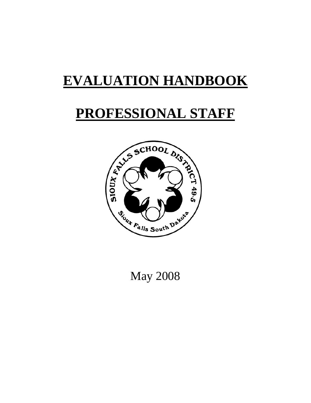# **EVALUATION HANDBOOK**

# **PROFESSIONAL STAFF**



May 2008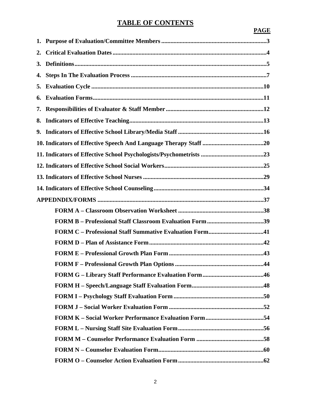### **TABLE OF CONTENTS**

**PAGE**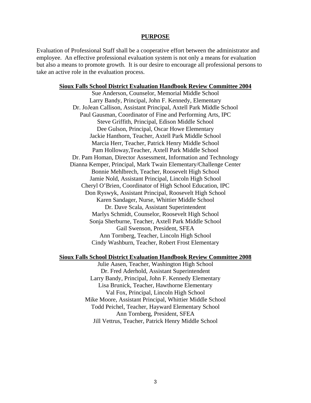#### **PURPOSE**

Evaluation of Professional Staff shall be a cooperative effort between the administrator and employee. An effective professional evaluation system is not only a means for evaluation but also a means to promote growth. It is our desire to encourage all professional persons to take an active role in the evaluation process.

#### **Sioux Falls School District Evaluation Handbook Review Committee 2004**

Sue Anderson, Counselor, Memorial Middle School Larry Bandy, Principal, John F. Kennedy, Elementary Dr. JoJean Callison, Assistant Principal, Axtell Park Middle School Paul Gausman, Coordinator of Fine and Performing Arts, IPC Steve Griffith, Principal, Edison Middle School Dee Gulson, Principal, Oscar Howe Elementary Jackie Hanthorn, Teacher, Axtell Park Middle School Marcia Herr, Teacher, Patrick Henry Middle School Pam Holloway,Teacher, Axtell Park Middle School Dr. Pam Homan, Director Assessment, Information and Technology Dianna Kemper, Principal, Mark Twain Elementary/Challenge Center Bonnie Mehlbrech, Teacher, Roosevelt High School Jamie Nold, Assistant Principal, Lincoln High School Cheryl O'Brien, Coordinator of High School Education, IPC Don Ryswyk, Assistant Principal, Roosevelt High School Karen Sandager, Nurse, Whittier Middle School Dr. Dave Scala, Assistant Superintendent Marlys Schmidt, Counselor, Roosevelt High School Sonja Sherburne, Teacher, Axtell Park Middle School Gail Swenson, President, SFEA Ann Tornberg, Teacher, Lincoln High School Cindy Washburn, Teacher, Robert Frost Elementary

#### **Sioux Falls School District Evaluation Handbook Review Committee 2008**

Julie Aasen, Teacher, Washington High School Dr. Fred Aderhold, Assistant Superintendent Larry Bandy, Principal, John F. Kennedy Elementary Lisa Brunick, Teacher, Hawthorne Elementary Val Fox, Principal, Lincoln High School Mike Moore, Assistant Principal, Whittier Middle School Todd Peichel, Teacher, Hayward Elementary School Ann Tornberg, President, SFEA Jill Vettrus, Teacher, Patrick Henry Middle School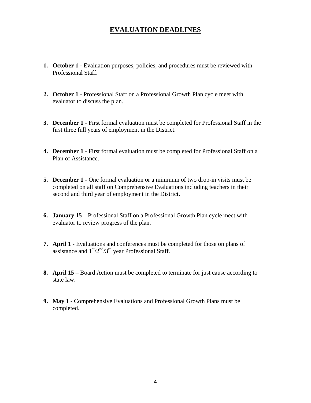#### **EVALUATION DEADLINES**

- **1. October 1 -** Evaluation purposes, policies, and procedures must be reviewed with Professional Staff.
- **2. October 1** Professional Staff on a Professional Growth Plan cycle meet with evaluator to discuss the plan.
- **3. December 1** First formal evaluation must be completed for Professional Staff in the first three full years of employment in the District.
- **4. December 1** First formal evaluation must be completed for Professional Staff on a Plan of Assistance.
- **5. December 1**  One formal evaluation or a minimum of two drop-in visits must be completed on all staff on Comprehensive Evaluations including teachers in their second and third year of employment in the District.
- **6. January 15**  Professional Staff on a Professional Growth Plan cycle meet with evaluator to review progress of the plan.
- **7. April 1** Evaluations and conferences must be completed for those on plans of assistance and  $1<sup>st</sup>/2<sup>nd</sup>/3<sup>rd</sup>$  year Professional Staff.
- **8. April 15**  Board Action must be completed to terminate for just cause according to state law.
- **9. May 1** Comprehensive Evaluations and Professional Growth Plans must be completed.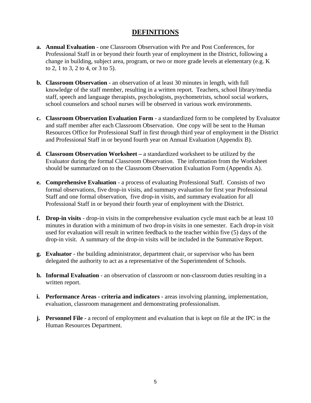#### **DEFINITIONS**

- **a. Annual Evaluation** one Classroom Observation with Pre and Post Conferences, for Professional Staff in or beyond their fourth year of employment in the District, following a change in building, subject area, program, or two or more grade levels at elementary (e.g. K to 2, 1 to 3, 2 to 4, or 3 to 5).
- **b. Classroom Observation** an observation of at least 30 minutes in length, with full knowledge of the staff member, resulting in a written report. Teachers, school library/media staff, speech and language therapists, psychologists, psychometrists, school social workers, school counselors and school nurses will be observed in various work environments.
- **c. Classroom Observation Evaluation Form** a standardized form to be completed by Evaluator and staff member after each Classroom Observation. One copy will be sent to the Human Resources Office for Professional Staff in first through third year of employment in the District and Professional Staff in or beyond fourth year on Annual Evaluation (Appendix B).
- **d. Classroom Observation Worksheet** a standardized worksheet to be utilized by the Evaluator during the formal Classroom Observation. The information from the Worksheet should be summarized on to the Classroom Observation Evaluation Form (Appendix A).
- **e. Comprehensive Evaluation**  a process of evaluating Professional Staff. Consists of two formal observations, five drop-in visits, and summary evaluation for first year Professional Staff and one formal observation, five drop-in visits, and summary evaluation for all Professional Staff in or beyond their fourth year of employment with the District.
- **f. Drop-in visits** drop-in visits in the comprehensive evaluation cycle must each be at least 10 minutes in duration with a minimum of two drop-in visits in one semester. Each drop-in visit used for evaluation will result in written feedback to the teacher within five (5) days of the drop-in visit. A summary of the drop-in visits will be included in the Summative Report.
- **g. Evaluator** the building administrator, department chair, or supervisor who has been delegated the authority to act as a representative of the Superintendent of Schools.
- **h. Informal Evaluation** an observation of classroom or non-classroom duties resulting in a written report.
- **i. Performance Areas criteria and indicators** areas involving planning, implementation, evaluation, classroom management and demonstrating professionalism.
- **j. Personnel File** a record of employment and evaluation that is kept on file at the IPC in the Human Resources Department.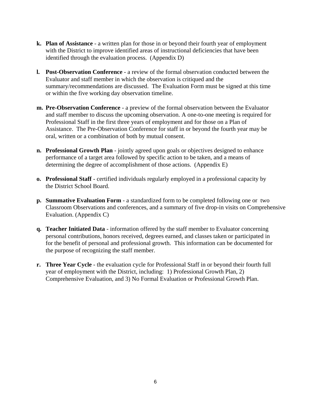- **k. Plan of Assistance**  a written plan for those in or beyond their fourth year of employment with the District to improve identified areas of instructional deficiencies that have been identified through the evaluation process. (Appendix D)
- **l. Post-Observation Conference** a review of the formal observation conducted between the Evaluator and staff member in which the observation is critiqued and the summary/recommendations are discussed. The Evaluation Form must be signed at this time or within the five working day observation timeline.
- **m. Pre-Observation Conference** a preview of the formal observation between the Evaluator and staff member to discuss the upcoming observation. A one-to-one meeting is required for Professional Staff in the first three years of employment and for those on a Plan of Assistance. The Pre-Observation Conference for staff in or beyond the fourth year may be oral, written or a combination of both by mutual consent.
- **n. Professional Growth Plan**  jointly agreed upon goals or objectives designed to enhance performance of a target area followed by specific action to be taken, and a means of determining the degree of accomplishment of those actions. (Appendix E)
- **o. Professional Staff** certified individuals regularly employed in a professional capacity by the District School Board.
- **p. Summative Evaluation Form**  a standardized form to be completed following one or two Classroom Observations and conferences, and a summary of five drop-in visits on Comprehensive Evaluation. (Appendix C)
- **q. Teacher Initiated Data**  information offered by the staff member to Evaluator concerning personal contributions, honors received, degrees earned, and classes taken or participated in for the benefit of personal and professional growth. This information can be documented for the purpose of recognizing the staff member.
- **r. Three Year Cycle** the evaluation cycle for Professional Staff in or beyond their fourth full year of employment with the District, including: 1) Professional Growth Plan, 2) Comprehensive Evaluation, and 3) No Formal Evaluation or Professional Growth Plan.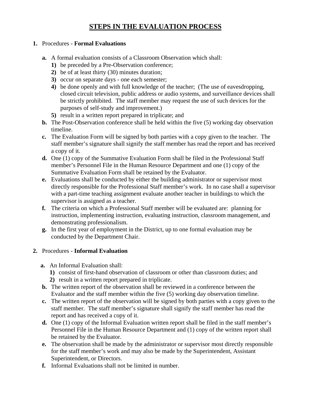### **STEPS IN THE EVALUATION PROCESS**

#### **1.** Procedures - **Formal Evaluations**

- **a.** A formal evaluation consists of a Classroom Observation which shall:
	- **1)** be preceded by a Pre-Observation conference;
	- **2)** be of at least thirty (30) minutes duration;
	- **3)** occur on separate days one each semester;
	- **4)** be done openly and with full knowledge of the teacher; (The use of eavesdropping, closed circuit television, public address or audio systems, and surveillance devices shall be strictly prohibited. The staff member may request the use of such devices for the purposes of self-study and improvement.)
	- **5)** result in a written report prepared in triplicate; and
- **b.** The Post-Observation conference shall be held within the five (5) working day observation timeline.
- **c.** The Evaluation Form will be signed by both parties with a copy given to the teacher. The staff member's signature shall signify the staff member has read the report and has received a copy of it.
- **d.** One (1) copy of the Summative Evaluation Form shall be filed in the Professional Staff member's Personnel File in the Human Resource Department and one (1) copy of the Summative Evaluation Form shall be retained by the Evaluator.
- **e.** Evaluations shall be conducted by either the building administrator or supervisor most directly responsible for the Professional Staff member's work. In no case shall a supervisor with a part-time teaching assignment evaluate another teacher in buildings to which the supervisor is assigned as a teacher.
- **f.** The criteria on which a Professional Staff member will be evaluated are: planning for instruction, implementing instruction, evaluating instruction, classroom management, and demonstrating professionalism.
- **g.** In the first year of employment in the District, up to one formal evaluation may be conducted by the Department Chair.

#### **2.** Procedures - **Informal Evaluation**

- **a.** An Informal Evaluation shall:
	- **1)** consist of first-hand observation of classroom or other than classroom duties; and
	- **2)** result in a written report prepared in triplicate.
- **b.** The written report of the observation shall be reviewed in a conference between the Evaluator and the staff member within the five (5) working day observation timeline.
- **c.** The written report of the observation will be signed by both parties with a copy given to the staff member. The staff member's signature shall signify the staff member has read the report and has received a copy of it.
- **d.** One (1) copy of the Informal Evaluation written report shall be filed in the staff member's Personnel File in the Human Resource Department and (1) copy of the written report shall be retained by the Evaluator.
- **e.** The observation shall be made by the administrator or supervisor most directly responsible for the staff member's work and may also be made by the Superintendent, Assistant Superintendent, or Directors.
- **f.** Informal Evaluations shall not be limited in number.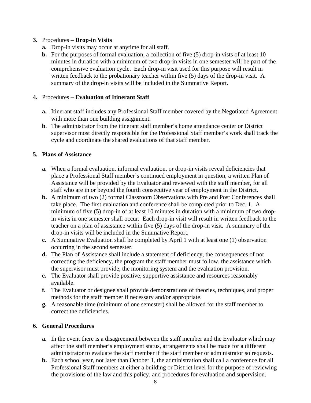#### **3.** Procedures – **Drop-in Visits**

- **a.** Drop-in visits may occur at anytime for all staff.
- **b.** For the purposes of formal evaluation, a collection of five (5) drop-in vists of at least 10 minutes in duration with a minimum of two drop-in visits in one semester will be part of the comprehensive evaluation cycle. Each drop-in visit used for this purpose will result in written feedback to the probationary teacher within five (5) days of the drop-in visit. A summary of the drop-in visits will be included in the Summative Report.

#### **4.** Procedures **– Evaluation of Itinerant Staff**

- **a.** Itinerant staff includes any Professional Staff member covered by the Negotiated Agreement with more than one building assignment.
- **b**. The administrator from the itinerant staff member's home attendance center or District supervisor most directly responsible for the Professional Staff member's work shall track the cycle and coordinate the shared evaluations of that staff member.

#### **5. Plans of Assistance**

- **a.** When a formal evaluation, informal evaluation, or drop-in visits reveal deficiencies that place a Professional Staff member's continued employment in question, a written Plan of Assistance will be provided by the Evaluator and reviewed with the staff member, for all staff who are in or beyond the fourth consecutive year of employment in the District.
- **b.** A minimum of two (2) formal Classroom Observations with Pre and Post Conferences shall take place. The first evaluation and conference shall be completed prior to Dec. 1. A minimum of five (5) drop-in of at least 10 minutes in duration with a minimum of two dropin visits in one semester shall occur. Each drop-in visit will result in written feedback to the teacher on a plan of assistance within five (5) days of the drop-in visit. A summary of the drop-in visits will be included in the Summative Report.
- **c.** A Summative Evaluation shall be completed by April 1 with at least one (1) observation occurring in the second semester.
- **d.** The Plan of Assistance shall include a statement of deficiency, the consequences of not correcting the deficiency, the program the staff member must follow, the assistance which the supervisor must provide, the monitoring system and the evaluation provision.
- **e.** The Evaluator shall provide positive, supportive assistance and resources reasonably available.
- **f.** The Evaluator or designee shall provide demonstrations of theories, techniques, and proper methods for the staff member if necessary and/or appropriate.
- **g.** A reasonable time (minimum of one semester) shall be allowed for the staff member to correct the deficiencies.

#### **6. General Procedures**

- **a.** In the event there is a disagreement between the staff member and the Evaluator which may affect the staff member's employment status, arrangements shall be made for a different administrator to evaluate the staff member if the staff member or administrator so requests.
- **b.** Each school year, not later than October 1, the administration shall call a conference for all Professional Staff members at either a building or District level for the purpose of reviewing the provisions of the law and this policy, and procedures for evaluation and supervision.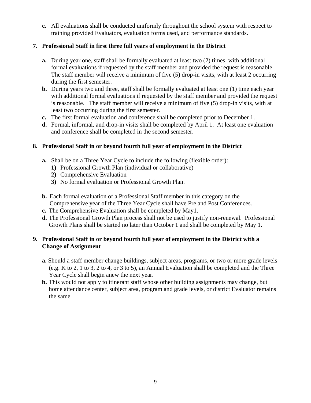**c.** All evaluations shall be conducted uniformly throughout the school system with respect to training provided Evaluators, evaluation forms used, and performance standards.

#### **7. Professional Staff in first three full years of employment in the District**

- **a.** During year one, staff shall be formally evaluated at least two (2) times, with additional formal evaluations if requested by the staff member and provided the request is reasonable. The staff member will receive a minimum of five (5) drop-in visits, with at least 2 occurring during the first semester.
- **b.** During years two and three, staff shall be formally evaluated at least one (1) time each year with additional formal evaluations if requested by the staff member and provided the request is reasonable. The staff member will receive a minimum of five (5) drop-in visits, with at least two occurring during the first semester.
- **c.** The first formal evaluation and conference shall be completed prior to December 1.
- **d.** Formal, informal, and drop-in visits shall be completed by April 1. At least one evaluation and conference shall be completed in the second semester.

#### **8. Professional Staff in or beyond fourth full year of employment in the District**

- **a.** Shall be on a Three Year Cycle to include the following (flexible order):
	- **1)** Professional Growth Plan (individual or collaborative)
	- **2)** Comprehensive Evaluation
	- **3)** No formal evaluation or Professional Growth Plan.
- **b.** Each formal evaluation of a Professional Staff member in this category on the Comprehensive year of the Three Year Cycle shall have Pre and Post Conferences.
- **c.** The Comprehensive Evaluation shall be completed by May1.
- **d.** The Professional Growth Plan process shall not be used to justify non-renewal. Professional Growth Plans shall be started no later than October 1 and shall be completed by May 1.

#### **9. Professional Staff in or beyond fourth full year of employment in the District with a Change of Assignment**

- **a.** Should a staff member change buildings, subject areas, programs, or two or more grade levels (e.g. K to 2, 1 to 3, 2 to 4, or 3 to 5), an Annual Evaluation shall be completed and the Three Year Cycle shall begin anew the next year.
- **b.** This would not apply to itinerant staff whose other building assignments may change, but home attendance center, subject area, program and grade levels, or district Evaluator remains the same.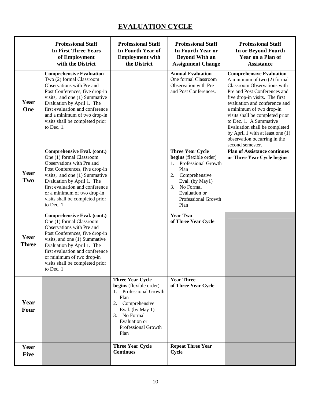## **EVALUATION CYCLE**

|                      | <b>Professional Staff</b><br><b>In First Three Years</b><br>of Employment<br>with the District                                                                                                                                                                                                                | <b>Professional Staff</b><br>In Fourth Year of<br><b>Employment with</b><br>the District                                                                                                     | <b>Professional Staff</b><br>In Fourth Year or<br><b>Beyond With an</b><br><b>Assignment Change</b>                                                                                                  | <b>Professional Staff</b><br>In or Beyond Fourth<br>Year on a Plan of<br><b>Assistance</b>                                                                                                                                                                                                                                                                                                                                  |
|----------------------|---------------------------------------------------------------------------------------------------------------------------------------------------------------------------------------------------------------------------------------------------------------------------------------------------------------|----------------------------------------------------------------------------------------------------------------------------------------------------------------------------------------------|------------------------------------------------------------------------------------------------------------------------------------------------------------------------------------------------------|-----------------------------------------------------------------------------------------------------------------------------------------------------------------------------------------------------------------------------------------------------------------------------------------------------------------------------------------------------------------------------------------------------------------------------|
| Year<br>One          | <b>Comprehensive Evaluation</b><br>Two (2) formal Classroom<br>Observations with Pre and<br>Post Conferences, five drop-in<br>visits, and one (1) Summative<br>Evaluation by April 1. The<br>first evaluation and conference<br>and a minimum of two drop-in<br>visits shall be completed prior<br>to Dec. 1. |                                                                                                                                                                                              | <b>Annual Evaluation</b><br>One formal Classroom<br>Observation with Pre<br>and Post Conferences.                                                                                                    | <b>Comprehensive Evaluation</b><br>A minimum of two (2) formal<br><b>Classroom Observations with</b><br>Pre and Post Conferences and<br>five drop-in visits. The first<br>evaluation and conference and<br>a minimum of two drop-in<br>visits shall be completed prior<br>to Dec. 1. A Summative<br>Evaluation shall be completed<br>by April 1 with at least one $(1)$<br>observation occurring in the<br>second semester. |
| Year<br>Two          | Comprehensive Eval. (cont.)<br>One (1) formal Classroom<br>Observations with Pre and<br>Post Conferences, five drop-in<br>visits, and one (1) Summative<br>Evaluation by April 1. The<br>first evaluation and conference<br>or a minimum of two drop-in<br>visits shall be completed prior<br>to Dec. 1       |                                                                                                                                                                                              | <b>Three Year Cycle</b><br>begins (flexible order)<br>Professional Growth<br>1.<br>Plan<br>Comprehensive<br>2.<br>Eval. (by May1)<br>No Formal<br>3.<br>Evaluation or<br>Professional Growth<br>Plan | <b>Plan of Assistance continues</b><br>or Three Year Cycle begins                                                                                                                                                                                                                                                                                                                                                           |
| Year<br><b>Three</b> | Comprehensive Eval. (cont.)<br>One (1) formal Classroom<br>Observations with Pre and<br>Post Conferences, five drop-in<br>visits, and one (1) Summative<br>Evaluation by April 1. The<br>first evaluation and conference<br>or minimum of two drop-in<br>visits shall be completed prior<br>to Dec. 1         |                                                                                                                                                                                              | <b>Year Two</b><br>of Three Year Cycle                                                                                                                                                               |                                                                                                                                                                                                                                                                                                                                                                                                                             |
| Year<br><b>Four</b>  |                                                                                                                                                                                                                                                                                                               | <b>Three Year Cycle</b><br>begins (flexible order)<br>1. Professional Growth<br>Plan<br>2. Comprehensive<br>Eval. (by May 1)<br>3. No Formal<br>Evaluation or<br>Professional Growth<br>Plan | <b>Year Three</b><br>of Three Year Cycle                                                                                                                                                             |                                                                                                                                                                                                                                                                                                                                                                                                                             |
| Year<br><b>Five</b>  |                                                                                                                                                                                                                                                                                                               | <b>Three Year Cycle</b><br><b>Continues</b>                                                                                                                                                  | <b>Repeat Three Year</b><br>Cycle                                                                                                                                                                    |                                                                                                                                                                                                                                                                                                                                                                                                                             |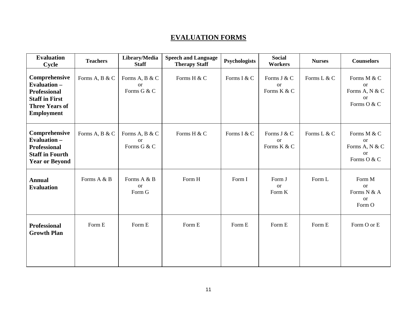#### **EVALUATION FORMS**

| <b>Evaluation</b><br>Cycle                                                                                                         | <b>Teachers</b> | Library/Media<br><b>Staff</b>                  | <b>Speech and Language</b><br><b>Therapy Staff</b> | <b>Psychologists</b> | <b>Social</b><br><b>Workers</b>             | <b>Nurses</b> | <b>Counselors</b>                                                      |
|------------------------------------------------------------------------------------------------------------------------------------|-----------------|------------------------------------------------|----------------------------------------------------|----------------------|---------------------------------------------|---------------|------------------------------------------------------------------------|
| Comprehensive<br><b>Evaluation -</b><br><b>Professional</b><br><b>Staff in First</b><br><b>Three Years of</b><br><b>Employment</b> | Forms A, B & C  | Forms A, B & C<br><sub>or</sub><br>Forms G & C | Forms H & C                                        | Forms I & C          | Forms J & C<br>$\alpha$<br>Forms K & C      | Forms L & C   | Forms M & C<br><b>or</b><br>Forms A, N & C<br><b>or</b><br>Forms O & C |
| Comprehensive<br><b>Evaluation -</b><br><b>Professional</b><br><b>Staff in Fourth</b><br><b>Year or Beyond</b>                     | Forms A, B & C  | Forms A, B & C<br><b>or</b><br>Forms G $\&$ C  | Forms H & C                                        | Forms I & C          | Forms J & C<br><sub>or</sub><br>Forms K & C | Forms L & C   | Forms M & C<br><b>or</b><br>Forms A, N & C<br><b>or</b><br>Forms O & C |
| <b>Annual</b><br><b>Evaluation</b>                                                                                                 | Forms A & B     | Forms A & B<br><b>or</b><br>Form G             | Form H                                             | Form I               | Form J<br><b>or</b><br>Form K               | Form L        | Form M<br><b>or</b><br>Forms N & A<br><b>or</b><br>Form O              |
| <b>Professional</b><br><b>Growth Plan</b>                                                                                          | Form E          | Form E                                         | Form E                                             | Form E               | Form E                                      | Form E        | Form O or E                                                            |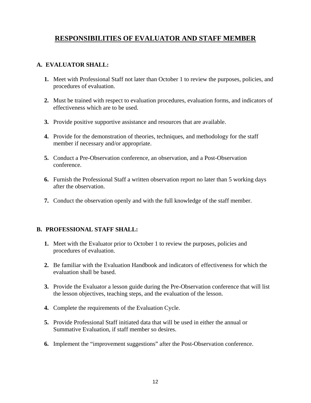#### **RESPONSIBILITIES OF EVALUATOR AND STAFF MEMBER**

#### **A. EVALUATOR SHALL:**

- **1.** Meet with Professional Staff not later than October 1 to review the purposes, policies, and procedures of evaluation.
- **2.** Must be trained with respect to evaluation procedures, evaluation forms, and indicators of effectiveness which are to be used.
- **3.** Provide positive supportive assistance and resources that are available.
- **4.** Provide for the demonstration of theories, techniques, and methodology for the staff member if necessary and/or appropriate.
- **5.** Conduct a Pre-Observation conference, an observation, and a Post-Observation conference.
- **6.** Furnish the Professional Staff a written observation report no later than 5 working days after the observation.
- **7.** Conduct the observation openly and with the full knowledge of the staff member.

#### **B. PROFESSIONAL STAFF SHALL:**

- **1.** Meet with the Evaluator prior to October 1 to review the purposes, policies and procedures of evaluation.
- **2.** Be familiar with the Evaluation Handbook and indicators of effectiveness for which the evaluation shall be based.
- **3.** Provide the Evaluator a lesson guide during the Pre-Observation conference that will list the lesson objectives, teaching steps, and the evaluation of the lesson.
- **4.** Complete the requirements of the Evaluation Cycle.
- **5.** Provide Professional Staff initiated data that will be used in either the annual or Summative Evaluation, if staff member so desires.
- **6.** Implement the "improvement suggestions" after the Post-Observation conference.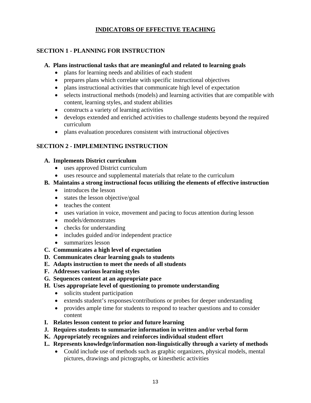#### **INDICATORS OF EFFECTIVE TEACHING**

#### **SECTION 1 - PLANNING FOR INSTRUCTION**

#### **A. Plans instructional tasks that are meaningful and related to learning goals**

- plans for learning needs and abilities of each student
- prepares plans which correlate with specific instructional objectives
- plans instructional activities that communicate high level of expectation
- selects instructional methods (models) and learning activities that are compatible with content, learning styles, and student abilities
- constructs a variety of learning activities
- develops extended and enriched activities to challenge students beyond the required curriculum
- plans evaluation procedures consistent with instructional objectives

#### **SECTION 2 - IMPLEMENTING INSTRUCTION**

#### **A. Implements District curriculum**

- uses approved District curriculum
- uses resource and supplemental materials that relate to the curriculum
- **B. Maintains a strong instructional focus utilizing the elements of effective instruction** 
	- introduces the lesson
	- states the lesson objective/goal
	- teaches the content
	- uses variation in voice, movement and pacing to focus attention during lesson
	- models/demonstrates
	- checks for understanding
	- includes guided and/or independent practice
	- summarizes lesson
- **C. Communicates a high level of expectation**
- **D. Communicates clear learning goals to students**
- **E. Adapts instruction to meet the needs of all students**
- **F. Addresses various learning styles**
- **G. Sequences content at an appropriate pace**
- **H. Uses appropriate level of questioning to promote understanding** 
	- solicits student participation
	- extends student's responses/contributions or probes for deeper understanding
	- provides ample time for students to respond to teacher questions and to consider content
- **I. Relates lesson content to prior and future learning**
- **J. Requires students to summarize information in written and/or verbal form**
- **K. Appropriately recognizes and reinforces individual student effort**
- **L. Represents knowledge/information non-linguistically through a variety of methods** 
	- Could include use of methods such as graphic organizers, physical models, mental pictures, drawings and pictographs, or kinesthetic activities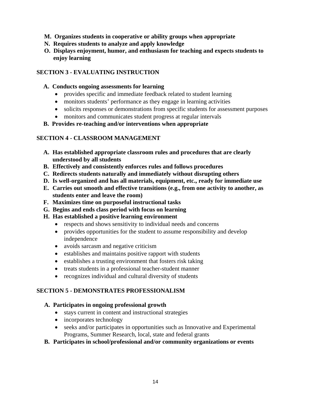- **M. Organizes students in cooperative or ability groups when appropriate**
- **N. Requires students to analyze and apply knowledge**
- **O. Displays enjoyment, humor, and enthusiasm for teaching and expects students to enjoy learning**

#### **SECTION 3 - EVALUATING INSTRUCTION**

#### **A. Conducts ongoing assessments for learning**

- provides specific and immediate feedback related to student learning
- monitors students' performance as they engage in learning activities
- solicits responses or demonstrations from specific students for assessment purposes
- monitors and communicates student progress at regular intervals
- **B. Provides re-teaching and/or interventions when appropriate**

#### **SECTION 4 - CLASSROOM MANAGEMENT**

- **A. Has established appropriate classroom rules and procedures that are clearly understood by all students**
- **B. Effectively and consistently enforces rules and follows procedures**
- **C. Redirects students naturally and immediately without disrupting others**
- **D. Is well-organized and has all materials, equipment, etc., ready for immediate use**
- **E. Carries out smooth and effective transitions (e.g., from one activity to another, as students enter and leave the room)**
- **F. Maximizes time on purposeful instructional tasks**
- **G. Begins and ends class period with focus on learning**
- **H. Has established a positive learning environment** 
	- respects and shows sensitivity to individual needs and concerns
	- provides opportunities for the student to assume responsibility and develop independence
	- avoids sarcasm and negative criticism
	- establishes and maintains positive rapport with students
	- establishes a trusting environment that fosters risk taking
	- treats students in a professional teacher-student manner
	- recognizes individual and cultural diversity of students

#### **SECTION 5 - DEMONSTRATES PROFESSIONALISM**

#### **A. Participates in ongoing professional growth**

- stays current in content and instructional strategies
- incorporates technology
- seeks and/or participates in opportunities such as Innovative and Experimental Programs, Summer Research, local, state and federal grants

#### **B. Participates in school/professional and/or community organizations or events**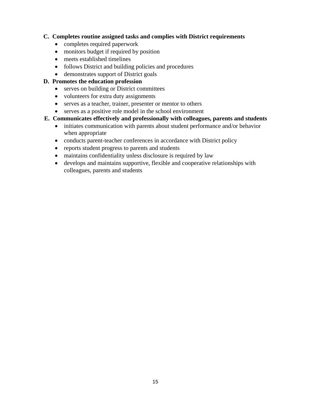#### **C. Completes routine assigned tasks and complies with District requirements**

- completes required paperwork
- monitors budget if required by position
- meets established timelines
- follows District and building policies and procedures
- demonstrates support of District goals

#### **D. Promotes the education profession**

- serves on building or District committees
- volunteers for extra duty assignments
- serves as a teacher, trainer, presenter or mentor to others
- serves as a positive role model in the school environment

#### **E. Communicates effectively and professionally with colleagues, parents and students**

- initiates communication with parents about student performance and/or behavior when appropriate
- conducts parent-teacher conferences in accordance with District policy
- reports student progress to parents and students
- maintains confidentiality unless disclosure is required by law
- develops and maintains supportive, flexible and cooperative relationships with colleagues, parents and students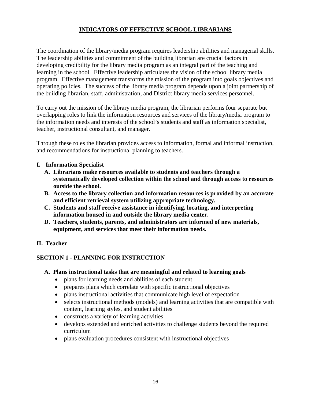#### **INDICATORS OF EFFECTIVE SCHOOL LIBRARIANS**

The coordination of the library/media program requires leadership abilities and managerial skills. The leadership abilities and commitment of the building librarian are crucial factors in developing credibility for the library media program as an integral part of the teaching and learning in the school. Effective leadership articulates the vision of the school library media program. Effective management transforms the mission of the program into goals objectives and operating policies. The success of the library media program depends upon a joint partnership of the building librarian, staff, administration, and District library media services personnel.

To carry out the mission of the library media program, the librarian performs four separate but overlapping roles to link the information resources and services of the library/media program to the information needs and interests of the school's students and staff as information specialist, teacher, instructional consultant, and manager.

Through these roles the librarian provides access to information, formal and informal instruction, and recommendations for instructional planning to teachers.

#### **I. Information Specialist**

- **A. Librarians make resources available to students and teachers through a systematically developed collection within the school and through access to resources outside the school.**
- **B. Access to the library collection and information resources is provided by an accurate and efficient retrieval system utilizing appropriate technology.**
- **C. Students and staff receive assistance in identifying, locating, and interpreting information housed in and outside the library media center.**
- **D. Teachers, students, parents, and administrators are informed of new materials, equipment, and services that meet their information needs.**

#### **II. Teacher**

#### **SECTION 1 - PLANNING FOR INSTRUCTION**

#### **A. Plans instructional tasks that are meaningful and related to learning goals**

- plans for learning needs and abilities of each student
- prepares plans which correlate with specific instructional objectives
- plans instructional activities that communicate high level of expectation
- selects instructional methods (models) and learning activities that are compatible with content, learning styles, and student abilities
- constructs a variety of learning activities
- develops extended and enriched activities to challenge students beyond the required curriculum
- plans evaluation procedures consistent with instructional objectives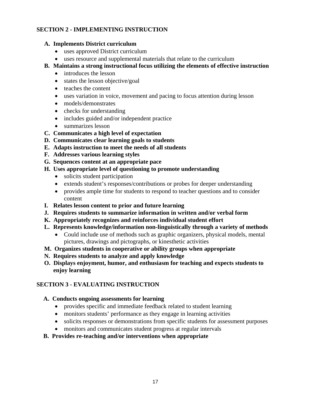#### **SECTION 2 - IMPLEMENTING INSTRUCTION**

#### **A. Implements District curriculum**

- uses approved District curriculum
- uses resource and supplemental materials that relate to the curriculum

#### **B. Maintains a strong instructional focus utilizing the elements of effective instruction**

- introduces the lesson
- states the lesson objective/goal
- teaches the content
- uses variation in voice, movement and pacing to focus attention during lesson
- models/demonstrates
- checks for understanding
- includes guided and/or independent practice
- summarizes lesson
- **C. Communicates a high level of expectation**
- **D. Communicates clear learning goals to students**
- **E. Adapts instruction to meet the needs of all students**
- **F. Addresses various learning styles**
- **G. Sequences content at an appropriate pace**
- **H. Uses appropriate level of questioning to promote understanding** 
	- solicits student participation
	- extends student's responses/contributions or probes for deeper understanding
	- provides ample time for students to respond to teacher questions and to consider content
- **I. Relates lesson content to prior and future learning**
- **J. Requires students to summarize information in written and/or verbal form**
- **K. Appropriately recognizes and reinforces individual student effort**
- **L. Represents knowledge/information non-linguistically through a variety of methods** 
	- Could include use of methods such as graphic organizers, physical models, mental pictures, drawings and pictographs, or kinesthetic activities
- **M. Organizes students in cooperative or ability groups when appropriate**
- **N. Requires students to analyze and apply knowledge**
- **O. Displays enjoyment, humor, and enthusiasm for teaching and expects students to enjoy learning**

#### **SECTION 3 - EVALUATING INSTRUCTION**

#### **A. Conducts ongoing assessments for learning**

- provides specific and immediate feedback related to student learning
- monitors students' performance as they engage in learning activities
- solicits responses or demonstrations from specific students for assessment purposes
- monitors and communicates student progress at regular intervals

#### **B. Provides re-teaching and/or interventions when appropriate**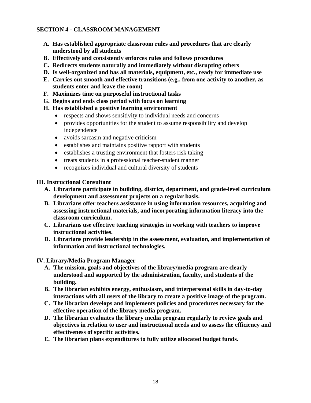#### **SECTION 4 - CLASSROOM MANAGEMENT**

- **A. Has established appropriate classroom rules and procedures that are clearly understood by all students**
- **B. Effectively and consistently enforces rules and follows procedures**
- **C. Redirects students naturally and immediately without disrupting others**
- **D. Is well-organized and has all materials, equipment, etc., ready for immediate use**
- **E. Carries out smooth and effective transitions (e.g., from one activity to another, as students enter and leave the room)**
- **F. Maximizes time on purposeful instructional tasks**
- **G. Begins and ends class period with focus on learning**
- **H. Has established a positive learning environment** 
	- respects and shows sensitivity to individual needs and concerns
	- provides opportunities for the student to assume responsibility and develop independence
	- avoids sarcasm and negative criticism
	- establishes and maintains positive rapport with students
	- establishes a trusting environment that fosters risk taking
	- treats students in a professional teacher-student manner
	- recognizes individual and cultural diversity of students

#### **III. Instructional Consultant**

- **A. Librarians participate in building, district, department, and grade-level curriculum development and assessment projects on a regular basis.**
- **B. Librarians offer teachers assistance in using information resources, acquiring and assessing instructional materials, and incorporating information literacy into the classroom curriculum.**
- **C. Librarians use effective teaching strategies in working with teachers to improve instructional activities.**
- **D. Librarians provide leadership in the assessment, evaluation, and implementation of information and instructional technologies.**

#### **IV. Library/Media Program Manager**

- **A. The mission, goals and objectives of the library/media program are clearly understood and supported by the administration, faculty, and students of the building.**
- **B. The librarian exhibits energy, enthusiasm, and interpersonal skills in day-to-day interactions with all users of the library to create a positive image of the program.**
- **C. The librarian develops and implements policies and procedures necessary for the effective operation of the library media program.**
- **D. The librarian evaluates the library media program regularly to review goals and objectives in relation to user and instructional needs and to assess the efficiency and effectiveness of specific activities.**
- **E. The librarian plans expenditures to fully utilize allocated budget funds.**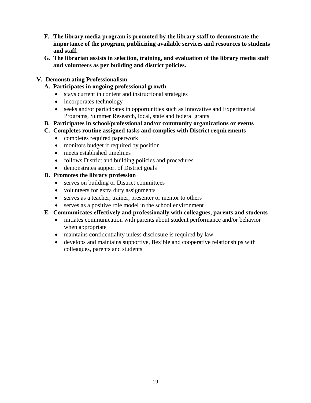- **F. The library media program is promoted by the library staff to demonstrate the importance of the program, publicizing available services and resources to students and staff.**
- **G. The librarian assists in selection, training, and evaluation of the library media staff and volunteers as per building and district policies.**

#### **V. Demonstrating Professionalism**

- **A. Participates in ongoing professional growth**
	- stays current in content and instructional strategies
	- incorporates technology
	- seeks and/or participates in opportunities such as Innovative and Experimental Programs, Summer Research, local, state and federal grants
- **B. Participates in school/professional and/or community organizations or events**
- **C. Completes routine assigned tasks and complies with District requirements** 
	- completes required paperwork
	- monitors budget if required by position
	- meets established timelines
	- follows District and building policies and procedures
	- demonstrates support of District goals

#### **D. Promotes the library profession**

- serves on building or District committees
- volunteers for extra duty assignments
- serves as a teacher, trainer, presenter or mentor to others
- serves as a positive role model in the school environment

#### **E. Communicates effectively and professionally with colleagues, parents and students**

- initiates communication with parents about student performance and/or behavior when appropriate
- maintains confidentiality unless disclosure is required by law
- develops and maintains supportive, flexible and cooperative relationships with colleagues, parents and students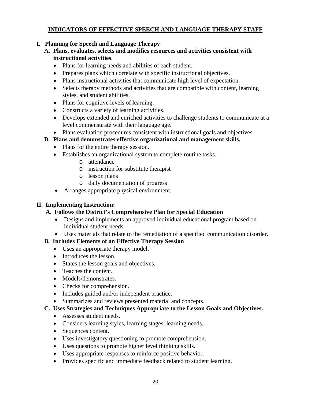#### **INDICATORS OF EFFECTIVE SPEECH AND LANGUAGE THERAPY STAFF**

#### **I. Planning for Speech and Language Therapy**

- **A. Plans, evaluates, selects and modifies resources and activities consistent with instructional activities**.
	- Plans for learning needs and abilities of each student.
	- Prepares plans which correlate with specific instructional objectives.
	- Plans instructional activities that communicate high level of expectation.
	- Selects therapy methods and activities that are compatible with content, learning styles, and student abilities.
	- Plans for cognitive levels of learning.
	- Constructs a variety of learning activities.
	- Develops extended and enriched activities to challenge students to communicate at a level commensurate with their language age.
	- Plans evaluation procedures consistent with instructional goals and objectives.

#### **B. Plans and demonstrates effective organizational and management skills.**

- Plans for the entire therapy session.
- Establishes an organizational system to complete routine tasks.
	- o attendance
	- o instruction for substitute therapist
	- o lesson plans
	- o daily documentation of progress
- Arranges appropriate physical environment.

#### **II. Implementing Instruction:**

#### **A. Follows the District's Comprehensive Plan for Special Education**

- Designs and implements an approved individual educational program based on individual student needs.
- Uses materials that relate to the remediation of a specified communication disorder.

#### **B. Includes Elements of an Effective Therapy Session**

- Uses an appropriate therapy model.
- Introduces the lesson.
- States the lesson goals and objectives.
- Teaches the content.
- Models/demonstrates.
- Checks for comprehension.
- Includes guided and/or independent practice.
- Summarizes and reviews presented material and concepts.

#### **C. Uses Strategies and Techniques Appropriate to the Lesson Goals and Objectives.**

- Assesses student needs.
- Considers learning styles, learning stages, learning needs.
- Sequences content.
- Uses investigatory questioning to promote comprehension.
- Uses questions to promote higher level thinking skills.
- Uses appropriate responses to reinforce positive behavior.
- Provides specific and immediate feedback related to student learning.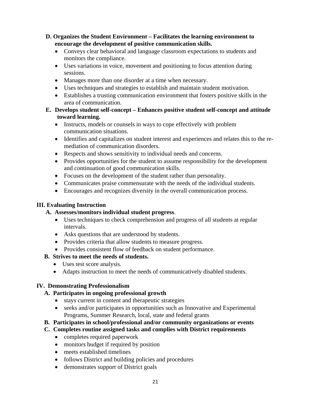**D. Organizes the Student Environment – Facilitates the learning environment to encourage the development of positive communication skills.** 

- Conveys clear behavioral and language classroom expectations to students and monitors the compliance.
- Uses variations in voice, movement and positioning to focus attention during sessions.
- Manages more than one disorder at a time when necessary.
- Uses techniques and strategies to establish and maintain student motivation.
- Establishes a trusting communication environment that fosters positive skills in the area of communication.
- **E. Develops student self-concept Enhances positive student self-concept and attitude toward learning.** 
	- Instructs, models or counsels in ways to cope effectively with problem communication situations.
	- Identifies and capitalizes on student interest and experiences and relates this to the remediation of communication disorders.
	- Respects and shows sensitivity to individual needs and concerns.
	- Provides opportunities for the student to assume responsibility for the development and continuation of good communication skills.
	- Focuses on the development of the student rather than personality.
	- Communicates praise commensurate with the needs of the individual students.
	- Encourages and recognizes diversity in the overall communication process.

#### **III. Evaluating Instruction**

#### **A. Assesses/monitors individual student progress**.

- Uses techniques to check comprehension and progress of all students at regular intervals.
- Asks questions that are understood by students.
- Provides criteria that allow students to measure progress.
- Provides consistent flow of feedback on student performance.

#### **B. Strives to meet the needs of students.**

- Uses test score analysis.
- Adapts instruction to meet the needs of communicatively disabled students.

#### **IV. Demonstrating Professionalism**

#### **A. Participates in ongoing professional growth**

- stays current in content and therapeutic strategies
- seeks and/or participates in opportunities such as Innovative and Experimental Programs, Summer Research, local, state and federal grants

#### **B. Participates in school/professional and/or community organizations or events**

#### **C. Completes routine assigned tasks and complies with District requirements**

- completes required paperwork
- monitors budget if required by position
- meets established timelines
- follows District and building policies and procedures
- demonstrates support of District goals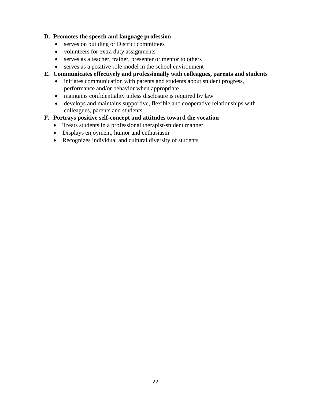#### **D. Promotes the speech and language profession**

- serves on building or District committees
- volunteers for extra duty assignments
- serves as a teacher, trainer, presenter or mentor to others
- serves as a positive role model in the school environment

#### **E. Communicates effectively and professionally with colleagues, parents and students**

- initiates communication with parents and students about student progress, performance and/or behavior when appropriate
- maintains confidentiality unless disclosure is required by law
- develops and maintains supportive, flexible and cooperative relationships with colleagues, parents and students

#### **F. Portrays positive self-concept and attitudes toward the vocation**

- Treats students in a professional therapist-student manner
- Displays enjoyment, humor and enthusiasm
- Recognizes individual and cultural diversity of students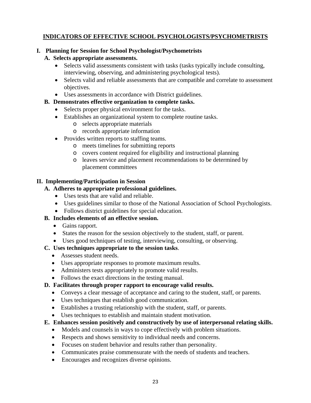#### **INDICATORS OF EFFECTIVE SCHOOL PSYCHOLOGISTS/PSYCHOMETRISTS**

#### **I. Planning for Session for School Psychologist/Psychometrists**

#### **A. Selects appropriate assessments.**

- Selects valid assessments consistent with tasks (tasks typically include consulting, interviewing, observing, and administering psychological tests).
- Selects valid and reliable assessments that are compatible and correlate to assessment objectives.
- Uses assessments in accordance with District guidelines.

#### **B. Demonstrates effective organization to complete tasks.**

- Selects proper physical environment for the tasks.
- Establishes an organizational system to complete routine tasks.
	- o selects appropriate materials
	- o records appropriate information
- Provides written reports to staffing teams.
	- o meets timelines for submitting reports
	- o covers content required for eligibility and instructional planning
	- o leaves service and placement recommendations to be determined by placement committees

#### **II. Implementing/Participation in Session**

#### **A. Adheres to appropriate professional guidelines.**

- Uses tests that are valid and reliable.
- Uses guidelines similar to those of the National Association of School Psychologists.
- Follows district guidelines for special education.

#### **B. Includes elements of an effective session.**

- Gains rapport.
- States the reason for the session objectively to the student, staff, or parent.
- Uses good techniques of testing, interviewing, consulting, or observing.

#### **C. Uses techniques appropriate to the session tasks**.

- Assesses student needs.
- Uses appropriate responses to promote maximum results.
- Administers tests appropriately to promote valid results.
- Follows the exact directions in the testing manual.

#### **D. Facilitates through proper rapport to encourage valid results.**

- Conveys a clear message of acceptance and caring to the student, staff, or parents.
- Uses techniques that establish good communication.
- Establishes a trusting relationship with the student, staff, or parents.
- Uses techniques to establish and maintain student motivation.

#### **E. Enhances session positively and constructively by use of interpersonal relating skills.**

- Models and counsels in ways to cope effectively with problem situations.
- Respects and shows sensitivity to individual needs and concerns.
- Focuses on student behavior and results rather than personality.
- Communicates praise commensurate with the needs of students and teachers.
- Encourages and recognizes diverse opinions.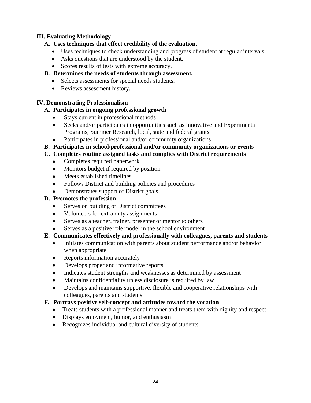#### **III. Evaluating Methodology**

#### **A. Uses techniques that effect credibility of the evaluation.**

- Uses techniques to check understanding and progress of student at regular intervals.
- Asks questions that are understood by the student.
- Scores results of tests with extreme accuracy.
- **B. Determines the needs of students through assessment.**
	- Selects assessments for special needs students.
	- Reviews assessment history.

#### **IV. Demonstrating Professionalism**

#### **A. Participates in ongoing professional growth**

- Stays current in professional methods
- Seeks and/or participates in opportunities such as Innovative and Experimental Programs, Summer Research, local, state and federal grants
- Participates in professional and/or community organizations

#### **B. Participates in school/professional and/or community organizations or events**

#### **C. Completes routine assigned tasks and complies with District requirements**

- Completes required paperwork
- Monitors budget if required by position
- Meets established timelines
- Follows District and building policies and procedures
- Demonstrates support of District goals

#### **D. Promotes the profession**

- Serves on building or District committees
- Volunteers for extra duty assignments
- Serves as a teacher, trainer, presenter or mentor to others
- Serves as a positive role model in the school environment

#### **E. Communicates effectively and professionally with colleagues, parents and students**

- Initiates communication with parents about student performance and/or behavior when appropriate
- Reports information accurately
- Develops proper and informative reports
- Indicates student strengths and weaknesses as determined by assessment
- Maintains confidentiality unless disclosure is required by law
- Develops and maintains supportive, flexible and cooperative relationships with colleagues, parents and students

#### **F. Portrays positive self-concept and attitudes toward the vocation**

- Treats students with a professional manner and treats them with dignity and respect
- Displays enjoyment, humor, and enthusiasm
- Recognizes individual and cultural diversity of students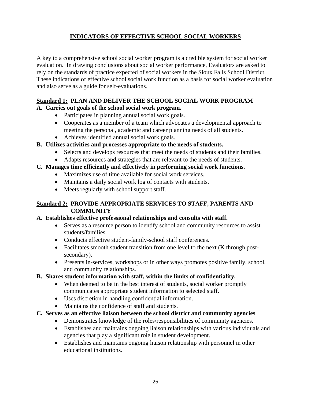#### **INDICATORS OF EFFECTIVE SCHOOL SOCIAL WORKERS**

A key to a comprehensive school social worker program is a credible system for social worker evaluation. In drawing conclusions about social worker performance, Evaluators are asked to rely on the standards of practice expected of social workers in the Sioux Falls School District. These indications of effective school social work function as a basis for social worker evaluation and also serve as a guide for self-evaluations.

#### **Standard 1: PLAN AND DELIVER THE SCHOOL SOCIAL WORK PROGRAM**

#### **A. Carries out goals of the school social work program.**

- Participates in planning annual social work goals.
- Cooperates as a member of a team which advocates a developmental approach to meeting the personal, academic and career planning needs of all students.
- Achieves identified annual social work goals.

#### **B. Utilizes activities and processes appropriate to the needs of students.**

- Selects and develops resources that meet the needs of students and their families.
- Adapts resources and strategies that are relevant to the needs of students.

#### **C. Manages time efficiently and effectively in performing social work functions**.

- Maximizes use of time available for social work services.
- Maintains a daily social work log of contacts with students.
- Meets regularly with school support staff.

#### **Standard 2: PROVIDE APPROPRIATE SERVICES TO STAFF, PARENTS AND COMMUNITY**

#### **A. Establishes effective professional relationships and consults with staff.**

- Serves as a resource person to identify school and community resources to assist students/families.
- Conducts effective student-family-school staff conferences.
- Facilitates smooth student transition from one level to the next (K through postsecondary).
- Presents in-services, workshops or in other ways promotes positive family, school, and community relationships.

#### **B. Shares student information with staff, within the limits of confidentiality.**

- When deemed to be in the best interest of students, social worker promptly communicates appropriate student information to selected staff.
- Uses discretion in handling confidential information.
- Maintains the confidence of staff and students.

#### **C. Serves as an effective liaison between the school district and community agencies**.

- Demonstrates knowledge of the roles/responsibilities of community agencies.
- Establishes and maintains ongoing liaison relationships with various individuals and agencies that play a significant role in student development.
- Establishes and maintains ongoing liaison relationship with personnel in other educational institutions.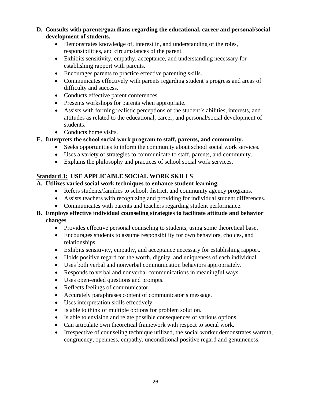- **D. Consults with parents/guardians regarding the educational, career and personal/social development of students.** 
	- Demonstrates knowledge of, interest in, and understanding of the roles, responsibilities, and circumstances of the parent.
	- Exhibits sensitivity, empathy, acceptance, and understanding necessary for establishing rapport with parents.
	- Encourages parents to practice effective parenting skills.
	- Communicates effectively with parents regarding student's progress and areas of difficulty and success.
	- Conducts effective parent conferences.
	- Presents workshops for parents when appropriate.
	- Assists with forming realistic perceptions of the student's abilities, interests, and attitudes as related to the educational, career, and personal/social development of students.
	- Conducts home visits.

#### **E. Interprets the school social work program to staff, parents, and community.**

- Seeks opportunities to inform the community about school social work services.
- Uses a variety of strategies to communicate to staff, parents, and community.
- Explains the philosophy and practices of school social work services.

#### **Standard 3: USE APPLICABLE SOCIAL WORK SKILLS**

#### **A. Utilizes varied social work techniques to enhance student learning.**

- Refers students/families to school, district, and community agency programs.
- Assists teachers with recognizing and providing for individual student differences.
- Communicates with parents and teachers regarding student performance.

#### **B. Employs effective individual counseling strategies to facilitate attitude and behavior changes**.

- Provides effective personal counseling to students, using some theoretical base.
- Encourages students to assume responsibility for own behaviors, choices, and relationships.
- Exhibits sensitivity, empathy, and acceptance necessary for establishing rapport.
- Holds positive regard for the worth, dignity, and uniqueness of each individual.
- Uses both verbal and nonverbal communication behaviors appropriately.
- Responds to verbal and nonverbal communications in meaningful ways.
- Uses open-ended questions and prompts.
- Reflects feelings of communicator.
- Accurately paraphrases content of communicator's message.
- Uses interpretation skills effectively.
- Is able to think of multiple options for problem solution.
- Is able to envision and relate possible consequences of various options.
- Can articulate own theoretical framework with respect to social work.
- Irrespective of counseling technique utilized, the social worker demonstrates warmth, congruency, openness, empathy, unconditional positive regard and genuineness.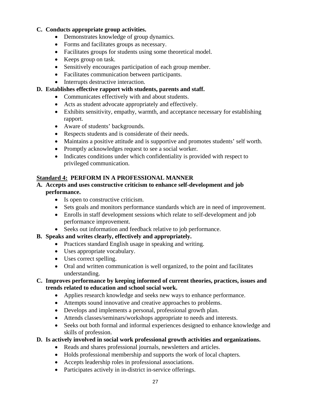#### **C. Conducts appropriate group activities.**

- Demonstrates knowledge of group dynamics.
- Forms and facilitates groups as necessary.
- Facilitates groups for students using some theoretical model.
- Keeps group on task.
- Sensitively encourages participation of each group member.
- Facilitates communication between participants.
- Interrupts destructive interaction.

#### **D. Establishes effective rapport with students, parents and staff.**

- Communicates effectively with and about students.
- Acts as student advocate appropriately and effectively.
- Exhibits sensitivity, empathy, warmth, and acceptance necessary for establishing rapport.
- Aware of students' backgrounds.
- Respects students and is considerate of their needs.
- Maintains a positive attitude and is supportive and promotes students' self worth.
- Promptly acknowledges request to see a social worker.
- Indicates conditions under which confidentiality is provided with respect to privileged communication.

#### **Standard 4: PERFORM IN A PROFESSIONAL MANNER**

#### **A. Accepts and uses constructive criticism to enhance self-development and job performance.**

- Is open to constructive criticism.
- Sets goals and monitors performance standards which are in need of improvement.
- Enrolls in staff development sessions which relate to self-development and job performance improvement.
- Seeks out information and feedback relative to job performance.

#### **B. Speaks and writes clearly, effectively and appropriately.**

- Practices standard English usage in speaking and writing.
- Uses appropriate vocabulary.
- Uses correct spelling.
- Oral and written communication is well organized, to the point and facilitates understanding.

#### **C. Improves performance by keeping informed of current theories, practices, issues and trends related to education and school social work.**

- Applies research knowledge and seeks new ways to enhance performance.
- Attempts sound innovative and creative approaches to problems.
- Develops and implements a personal, professional growth plan.
- Attends classes/seminars/workshops appropriate to needs and interests.
- Seeks out both formal and informal experiences designed to enhance knowledge and skills of profession.

#### **D. Is actively involved in social work professional growth activities and organizations.**

- Reads and shares professional journals, newsletters and articles.
- Holds professional membership and supports the work of local chapters.
- Accepts leadership roles in professional associations.
- Participates actively in in-district in-service offerings.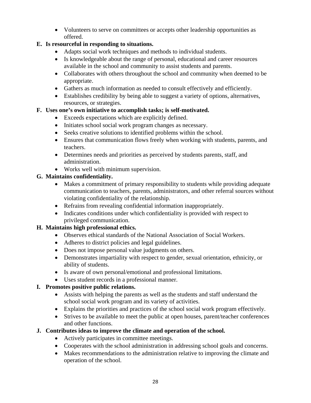• Volunteers to serve on committees or accepts other leadership opportunities as offered.

#### **E. Is resourceful in responding to situations.**

- Adapts social work techniques and methods to individual students.
- Is knowledgeable about the range of personal, educational and career resources available in the school and community to assist students and parents.
- Collaborates with others throughout the school and community when deemed to be appropriate.
- Gathers as much information as needed to consult effectively and efficiently.
- Establishes credibility by being able to suggest a variety of options, alternatives, resources, or strategies.

#### **F. Uses one's own initiative to accomplish tasks; is self-motivated.**

- Exceeds expectations which are explicitly defined.
- Initiates school social work program changes as necessary.
- Seeks creative solutions to identified problems within the school.
- Ensures that communication flows freely when working with students, parents, and teachers.
- Determines needs and priorities as perceived by students parents, staff, and administration.
- Works well with minimum supervision.

#### **G. Maintains confidentiality.**

- Makes a commitment of primary responsibility to students while providing adequate communication to teachers, parents, administrators, and other referral sources without violating confidentiality of the relationship.
- Refrains from revealing confidential information inappropriately.
- Indicates conditions under which confidentiality is provided with respect to privileged communication.

#### **H. Maintains high professional ethics.**

- Observes ethical standards of the National Association of Social Workers.
- Adheres to district policies and legal guidelines.
- Does not impose personal value judgments on others.
- Demonstrates impartiality with respect to gender, sexual orientation, ethnicity, or ability of students.
- Is aware of own personal/emotional and professional limitations.
- Uses student records in a professional manner.

#### **I. Promotes positive public relations.**

- Assists with helping the parents as well as the students and staff understand the school social work program and its variety of activities.
- Explains the priorities and practices of the school social work program effectively.
- Strives to be available to meet the public at open houses, parent/teacher conferences and other functions.

#### **J. Contributes ideas to improve the climate and operation of the school.**

- Actively participates in committee meetings.
- Cooperates with the school administration in addressing school goals and concerns.
- Makes recommendations to the administration relative to improving the climate and operation of the school.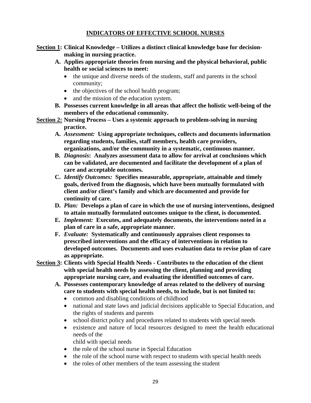#### **INDICATORS OF EFFECTIVE SCHOOL NURSES**

- **Section 1: Clinical Knowledge Utilizes a distinct clinical knowledge base for decisionmaking in nursing practice.** 
	- **A. Applies appropriate theories from nursing and the physical behavioral, public health or social sciences to meet:**
		- the unique and diverse needs of the students, staff and parents in the school community;
		- the objectives of the school health program;
		- and the mission of the education system.
	- **B. Possesses current knowledge in all areas that affect the holistic well-being of the members of the educational community.**
- **Section 2: Nursing Process Uses a systemic approach to problem-solving in nursing practice.** 
	- **A.** *Assessment:* **Using appropriate techniques, collects and documents information regarding students, families, staff members, health care providers, organizations, and/or the community in a systematic, continuous manner.**
	- **B.** *Diagnosis***: Analyzes assessment data to allow for arrival at conclusions which can be validated, are documented and facilitate the development of a plan of care and acceptable outcomes.**
	- **C.** *Identify Outcomes:* **Specifies measurable, appropriate, attainable and timely goals, derived from the diagnosis, which have been mutually formulated with client and/or client's family and which are documented and provide for continuity of care.**
	- **D.** *Plan:* **Develops a plan of care in which the use of nursing interventions, designed to attain mutually formulated outcomes unique to the client, is documented.**
	- **E.** *Implement:* **Executes, and adequately documents, the interventions noted in a plan of care in a safe, appropriate manner.**
	- **F.** *Evaluate:* **Systematically and continuously appraises client responses to prescribed interventions and the efficacy of interventions in relation to developed outcomes. Documents and uses evaluation data to revise plan of care as appropriate.**
- **Section 3: Clients with Special Health Needs Contributes to the education of the client with special health needs by assessing the client, planning and providing appropriate nursing care, and evaluating the identified outcomes of care.** 
	- **A. Possesses contemporary knowledge of areas related to the delivery of nursing care to students with special health needs, to include, but is not limited to:** 
		- common and disabling conditions of childhood
		- national and state laws and judicial decisions applicable to Special Education, and the rights of students and parents
		- school district policy and procedures related to students with special needs
		- existence and nature of local resources designed to meet the health educational needs of the

child with special needs

- the role of the school nurse in Special Education
- the role of the school nurse with respect to students with special health needs
- the roles of other members of the team assessing the student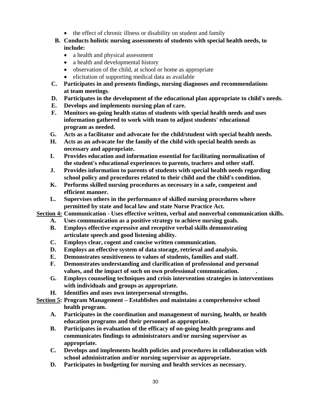- the effect of chronic illness or disability on student and family
- **B. Conducts holistic nursing assessments of students with special health needs, to include:** 
	- a health and physical assessment
	- a health and developmental history
	- observation of the child, at school or home as appropriate
	- elicitation of supporting medical data as available
- **C. Participates in and presents findings, nursing diagnoses and recommendations at team meetings**.
- **D. Participates in the development of the educational plan appropriate to child's needs.**
- **E. Develops and implements nursing plan of care.**
- **F. Monitors on-going health status of students with special health needs and uses information gathered to work with team to adjust students' educational program as needed.**
- **G. Acts as a facilitator and advocate for the child/student with special health needs.**
- **H. Acts as an advocate for the family of the child with special health needs as necessary and appropriate.**
- **I. Provides education and information essential for facilitating normalization of the student's educational experiences to parents, teachers and other staff.**
- **J. Provides information to parents of students with special health needs regarding school policy and procedures related to their child and the child's condition.**
- **K. Performs skilled nursing procedures as necessary in a safe, competent and efficient manner.**
- **L. Supervises others in the performance of skilled nursing procedures where permitted by state and local law and state Nurse Practice Act.**

**Section 4: Communication - Uses effective written, verbal and nonverbal communication skills.** 

- **A. Uses communication as a positive strategy to achieve nursing goals.**
- **B. Employs effective expressive and receptive verbal skills demonstrating articulate speech and good listening ability.**
- **C. Employs clear, cogent and concise written communication.**
- **D. Employs an effective system of data storage, retrieval and analysis.**
- **E. Demonstrates sensitiveness to values of students, families and staff.**
- **F. Demonstrates understanding and clarification of professional and personal values, and the impact of such on own professional communication. .**
- **G. Employs counseling techniques and crisis intervention strategies in interventions with individuals and groups as appropriate.**
- **H. Identifies and uses own interpersonal strengths.**
- **Section 5: Program Management Establishes and maintains a comprehensive school health program.**
	- **A. Participates in the coordination and management of nursing, health, or health education programs and their personnel as appropriate.**
	- **B. Participates in evaluation of the efficacy of on-going health programs and communicates findings to administrators and/or nursing supervisor as appropriate.**
	- **C. Develops and implements health policies and procedures in collaboration with school administration and/or nursing supervisor as appropriate.**
	- **D. Participates in budgeting for nursing and health services as necessary.**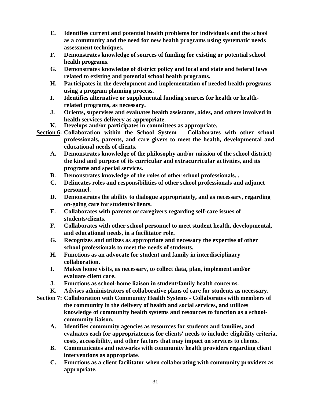- **E. Identifies current and potential health problems for individuals and the school as a community and the need for new health programs using systematic needs assessment techniques.**
- **F. Demonstrates knowledge of sources of funding for existing or potential school health programs.**
- **G. Demonstrates knowledge of district policy and local and state and federal laws related to existing and potential school health programs.**
- **H. Participates in the development and implementation of needed health programs using a program planning process.**
- **I. Identifies alternative or supplemental funding sources for health or healthrelated programs, as necessary.**
- **J. Orients, supervises and evaluates health assistants, aides, and others involved in health services delivery as appropriate.**
- **K. Develops and/or participates in committees as appropriate.**
- **Section 6: Collaboration within the School System Collaborates with other school professionals, parents, and care givers to meet the health, developmental and educational needs of clients.**
	- **A. Demonstrates knowledge of the philosophy and/or mission of the school district) the kind and purpose of its curricular and extracurricular activities, and its programs and special services.**
	- **B. Demonstrates knowledge of the roles of other school professionals. .**
	- **C. Delineates roles and responsibilities of other school professionals and adjunct personnel.**
	- **D. Demonstrates the ability to dialogue appropriately, and as necessary, regarding on-going care for students/clients.**
	- **E. Collaborates with parents or caregivers regarding self-care issues of students/clients.**
	- **F. Collaborates with other school personnel to meet student health, developmental, and educational needs, in a facilitator role.**
	- **G. Recognizes and utilizes as appropriate and necessary the expertise of other school professionals to meet the needs of students.**
	- **H. Functions as an advocate for student and family in interdisciplinary collaboration.**
	- **I. Makes home visits, as necessary, to collect data, plan, implement and/or evaluate client care.**
	- **J. Functions as school-home liaison in student/family health concerns.**
	- **K. Advises administrators of collaborative plans of care for students as necessary.**
- **Section 7: Collaboration with Community Health Systems Collaborates with members of the community in the delivery of health and social services, and utilizes knowledge of community health systems and resources to function as a schoolcommunity liaison.** 
	- **A. Identifies community agencies as resources for students and families, and evaluates each for appropriateness for clients' needs to include: eligibility criteria, costs, accessibility, and other factors that may impact on services to clients.**
	- **B. Communicates and networks with community health providers regarding client interventions as appropriate**.
	- **C. Functions as a client facilitator when collaborating with community providers as appropriate.**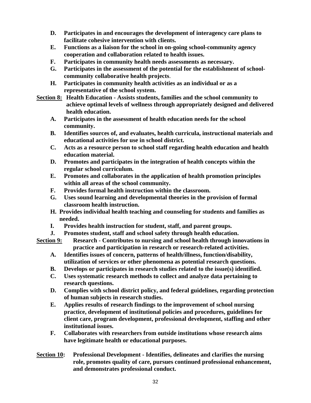- **D. Participates in and encourages the development of interagency care plans to facilitate cohesive intervention with clients.**
- **E. Functions as a liaison for the school in on-going school-community agency cooperation and collaboration related to health issues.**
- **F. Participates in community health needs assessments as necessary.**
- **G. Participates in the assessment of the potential for the establishment of schoolcommunity collaborative health projects**.
- **H. Participates in community health activities as an individual or as a representative of the school system.**
- **Section 8: Health Education Assists students, families and the school community to achieve optimal levels of wellness through appropriately designed and delivered health education.** 
	- **A. Participates in the assessment of health education needs for the school community.**
	- **B. Identifies sources of, and evaluates, health curricula, instructional materials and educational activities for use in school district.**
	- **C. Acts as a resource person to school staff regarding health education and health education material.**
	- **D. Promotes and participates in the integration of health concepts within the regular school curriculum.**
	- **E. Promotes and collaborates in the application of health promotion principles within all areas of the school community.**
	- **F. Provides formal health instruction within the classroom.**
	- **G. Uses sound learning and developmental theories in the provision of formal classroom health instruction.**
	- **H. Provides individual health teaching and counseling for students and families as needed.**
	- **I. Provides health instruction for student, staff, and parent groups.**
	- **J. Promotes student, staff and school safety through health education.**
- **Section 9: Research Contributes to nursing and school health through innovations in practice and participation in research or research-related activities.** 
	- **A. Identifies issues of concern, patterns of health/illness, function/disability, utilization of services or other phenomena as potential research questions.**
	- **B. Develops or participates in research studies related to the issue(s) identified.**
	- **C. Uses systematic research methods to collect and analyze data pertaining to research questions.**
	- **D. Complies with school district policy, and federal guidelines, regarding protection of human subjects in research studies.**
	- **E. Applies results of research findings to the improvement of school nursing practice, development of institutional policies and procedures, guidelines for client care, program development, professional development, staffing and other institutional issues.**
	- **F. Collaborates with researchers from outside institutions whose research aims have legitimate health or educational purposes.**
- **Section 10: Professional Development Identifies, delineates and clarifies the nursing role, promotes quality of care, pursues continued professional enhancement, and demonstrates professional conduct.**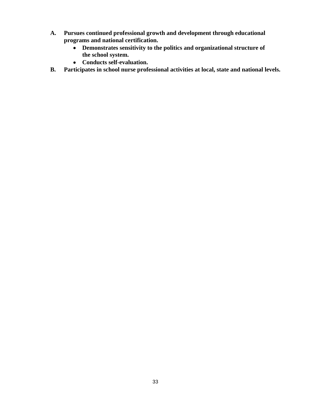- **A. Pursues continued professional growth and development through educational programs and national certification.** 
	- **Demonstrates sensitivity to the politics and organizational structure of the school system.**
	- **Conducts self-evaluation.**
- **B. Participates in school nurse professional activities at local, state and national levels.**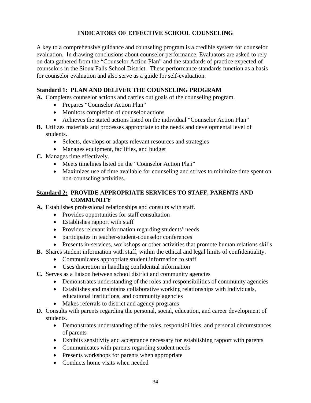#### **INDICATORS OF EFFECTIVE SCHOOL COUNSELING**

A key to a comprehensive guidance and counseling program is a credible system for counselor evaluation. In drawing conclusions about counselor performance, Evaluators are asked to rely on data gathered from the "Counselor Action Plan" and the standards of practice expected of counselors in the Sioux Falls School District. These performance standards function as a basis for counselor evaluation and also serve as a guide for self-evaluation.

#### **Standard 1: PLAN AND DELIVER THE COUNSELING PROGRAM**

**A.** Completes counselor actions and carries out goals of the counseling program.

- Prepares "Counselor Action Plan"
- Monitors completion of counselor actions
- Achieves the stated actions listed on the individual "Counselor Action Plan"
- **B.** Utilizes materials and processes appropriate to the needs and developmental level of students.
	- Selects, develops or adapts relevant resources and strategies
	- Manages equipment, facilities, and budget
- **C.** Manages time effectively.
	- Meets timelines listed on the "Counselor Action Plan"
	- Maximizes use of time available for counseling and strives to minimize time spent on non-counseling activities.

#### **Standard 2: PROVIDE APPROPRIATE SERVICES TO STAFF, PARENTS AND COMMUNITY**

- **A.** Establishes professional relationships and consults with staff.
	- Provides opportunities for staff consultation
	- Establishes rapport with staff
	- Provides relevant information regarding students' needs
	- participates in teacher-student-counselor conferences
	- Presents in-services, workshops or other activities that promote human relations skills
- **B.** Shares student information with staff, within the ethical and legal limits of confidentiality.
	- Communicates appropriate student information to staff
	- Uses discretion in handling confidential information
- **C.** Serves as a liaison between school district and community agencies
	- Demonstrates understanding of the roles and responsibilities of community agencies
	- Establishes and maintains collaborative working relationships with individuals, educational institutions, and community agencies
	- Makes referrals to district and agency programs
- **D.** Consults with parents regarding the personal, social, education, and career development of students.
	- Demonstrates understanding of the roles, responsibilities, and personal circumstances of parents
	- Exhibits sensitivity and acceptance necessary for establishing rapport with parents
	- Communicates with parents regarding student needs
	- Presents workshops for parents when appropriate
	- Conducts home visits when needed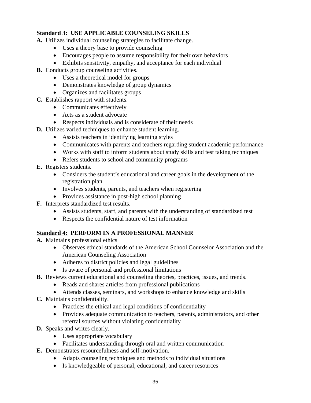#### **Standard 3: USE APPLICABLE COUNSELING SKILLS**

- **A.** Utilizes individual counseling strategies to facilitate change.
	- Uses a theory base to provide counseling
	- Encourages people to assume responsibility for their own behaviors
	- Exhibits sensitivity, empathy, and acceptance for each individual
- **B.** Conducts group counseling activities.
	- Uses a theoretical model for groups
	- Demonstrates knowledge of group dynamics
	- Organizes and facilitates groups
- **C.** Establishes rapport with students.
	- Communicates effectively
		- Acts as a student advocate
	- Respects individuals and is considerate of their needs
- **D.** Utilizes varied techniques to enhance student learning.
	- Assists teachers in identifying learning styles
	- Communicates with parents and teachers regarding student academic performance
	- Works with staff to inform students about study skills and test taking techniques
	- Refers students to school and community programs
- **E.** Registers students.
	- Considers the student's educational and career goals in the development of the registration plan
	- Involves students, parents, and teachers when registering
	- Provides assistance in post-high school planning
- **F.** Interprets standardized test results.
	- Assists students, staff, and parents with the understanding of standardized test
	- Respects the confidential nature of test information

#### **Standard 4: PERFORM IN A PROFESSIONAL MANNER**

- **A.** Maintains professional ethics
	- Observes ethical standards of the American School Counselor Association and the American Counseling Association
	- Adheres to district policies and legal guidelines
	- Is aware of personal and professional limitations
- **B.** Reviews current educational and counseling theories, practices, issues, and trends.
	- Reads and shares articles from professional publications
	- Attends classes, seminars, and workshops to enhance knowledge and skills
- **C.** Maintains confidentiality.
	- Practices the ethical and legal conditions of confidentiality
	- Provides adequate communication to teachers, parents, administrators, and other referral sources without violating confidentiality
- **D.** Speaks and writes clearly.
	- Uses appropriate vocabulary
	- Facilitates understanding through oral and written communication
- **E.** Demonstrates resourcefulness and self-motivation.
	- Adapts counseling techniques and methods to individual situations
	- Is knowledgeable of personal, educational, and career resources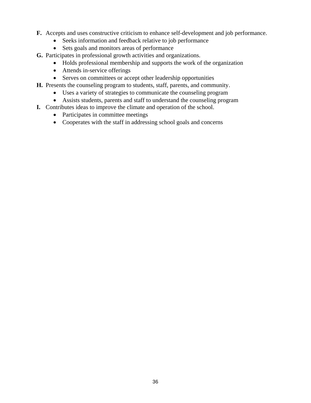- **F.** Accepts and uses constructive criticism to enhance self-development and job performance.
	- Seeks information and feedback relative to job performance
	- Sets goals and monitors areas of performance
- **G.** Participates in professional growth activities and organizations.
	- Holds professional membership and supports the work of the organization
	- Attends in-service offerings
	- Serves on committees or accept other leadership opportunities
- **H.** Presents the counseling program to students, staff, parents, and community.
	- Uses a variety of strategies to communicate the counseling program
	- Assists students, parents and staff to understand the counseling program
- **I.** Contributes ideas to improve the climate and operation of the school.
	- Participates in committee meetings
	- Cooperates with the staff in addressing school goals and concerns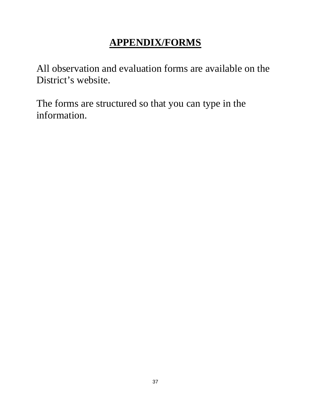# **APPENDIX/FORMS**

All observation and evaluation forms are available on the District's website.

The forms are structured so that you can type in the information.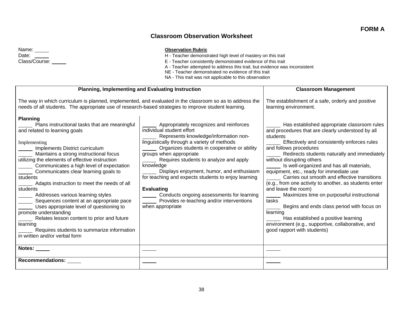#### **Classroom Observation Worksheet**

| Name:         | <b>Observation Rubric</b> |
|---------------|---------------------------|
| Date:         | H - Teacher demonst       |
| Class/Course: | E - Teacher consiste      |

- H Teacher demonstrated high level of mastery on this trait
- E Teacher consistently demonstrated evidence of this trait
- A Teacher attempted to address this trait, but evidence was inconsistent
- NE Teacher demonstrated no evidence of this trait
- NA This trait was not applicable to this observation

| <b>Planning, Implementing and Evaluating Instruction</b>                                                                                                                                                                                                                                                                                                                                                                                                                                                                                                                                                                                                                                                   | <b>Classroom Management</b>                                                                                                                                                                                                                                                                                                                                                                                                                                                                                                           |                                                                                                                                                                                                                                                                                                                                                                                                                                                                                                                                                                                                                                                                                                                                         |
|------------------------------------------------------------------------------------------------------------------------------------------------------------------------------------------------------------------------------------------------------------------------------------------------------------------------------------------------------------------------------------------------------------------------------------------------------------------------------------------------------------------------------------------------------------------------------------------------------------------------------------------------------------------------------------------------------------|---------------------------------------------------------------------------------------------------------------------------------------------------------------------------------------------------------------------------------------------------------------------------------------------------------------------------------------------------------------------------------------------------------------------------------------------------------------------------------------------------------------------------------------|-----------------------------------------------------------------------------------------------------------------------------------------------------------------------------------------------------------------------------------------------------------------------------------------------------------------------------------------------------------------------------------------------------------------------------------------------------------------------------------------------------------------------------------------------------------------------------------------------------------------------------------------------------------------------------------------------------------------------------------------|
| The way in which curriculum is planned, implemented, and evaluated in the classroom so as to address the<br>needs of all students. The appropriate use of research-based strategies to improve student learning.                                                                                                                                                                                                                                                                                                                                                                                                                                                                                           | The establishment of a safe, orderly and positive<br>learning environment.                                                                                                                                                                                                                                                                                                                                                                                                                                                            |                                                                                                                                                                                                                                                                                                                                                                                                                                                                                                                                                                                                                                                                                                                                         |
| <b>Planning</b><br>Plans instructional tasks that are meaningful<br>and related to learning goals<br>Implementing<br>Implements District curriculum<br>Maintains a strong instructional focus<br>utilizing the elements of effective instruction<br>Communicates a high level of expectation<br>Communicates clear learning goals to<br>students<br>Adapts instruction to meet the needs of all<br>students<br>Addresses various learning styles<br>Sequences content at an appropriate pace<br>Uses appropriate level of questioning to<br>promote understanding<br>Relates lesson content to prior and future<br>learning<br>Requires students to summarize information<br>in written and/or verbal form | Appropriately recognizes and reinforces<br>individual student effort<br>Represents knowledge/information non-<br>linguistically through a variety of methods<br>Organizes students in cooperative or ability<br>groups when appropriate<br>Requires students to analyze and apply<br>knowledge<br>Displays enjoyment, humor, and enthusiasm<br>for teaching and expects students to enjoy learning<br><b>Evaluating</b><br>Conducts ongoing assessments for learning<br>Provides re-teaching and/or interventions<br>when appropriate | Has established appropriate classroom rules<br>and procedures that are clearly understood by all<br>students<br>Effectively and consistently enforces rules<br>and follows procedures<br>Redirects students naturally and immediately<br>without disrupting others<br>Is well-organized and has all materials,<br>equipment, etc., ready for immediate use<br>Carries out smooth and effective transitions<br>(e.g., from one activity to another, as students enter<br>and leave the room)<br>Maximizes time on purposeful instructional<br>tasks<br>Begins and ends class period with focus on<br>learning<br>Has established a positive learning<br>environment (e.g., supportive, collaborative, and<br>good rapport with students) |
| Notes:                                                                                                                                                                                                                                                                                                                                                                                                                                                                                                                                                                                                                                                                                                     |                                                                                                                                                                                                                                                                                                                                                                                                                                                                                                                                       |                                                                                                                                                                                                                                                                                                                                                                                                                                                                                                                                                                                                                                                                                                                                         |
| <b>Recommendations:</b>                                                                                                                                                                                                                                                                                                                                                                                                                                                                                                                                                                                                                                                                                    |                                                                                                                                                                                                                                                                                                                                                                                                                                                                                                                                       |                                                                                                                                                                                                                                                                                                                                                                                                                                                                                                                                                                                                                                                                                                                                         |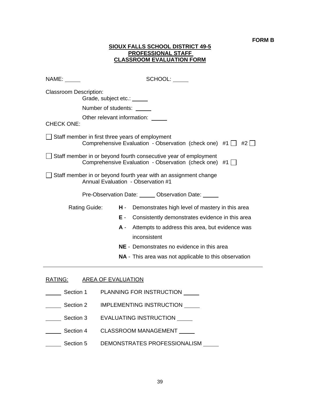#### **FORM B**

#### **SIOUX FALLS SCHOOL DISTRICT 49-5 PROFESSIONAL STAFF CLASSROOM EVALUATION FORM**

| NAME:                         |                      |     | SCHOOL:                                                                                                                         |  |  |  |
|-------------------------------|----------------------|-----|---------------------------------------------------------------------------------------------------------------------------------|--|--|--|
| <b>Classroom Description:</b> | Grade, subject etc.: |     |                                                                                                                                 |  |  |  |
|                               | Number of students:  |     |                                                                                                                                 |  |  |  |
| <b>CHECK ONE:</b>             |                      |     | Other relevant information:                                                                                                     |  |  |  |
|                               |                      |     | Staff member in first three years of employment<br>Comprehensive Evaluation - Observation (check one) #1 $\Box$ #2              |  |  |  |
|                               |                      |     | Staff member in or beyond fourth consecutive year of employment<br>Comprehensive Evaluation - Observation (check one) #1 $\Box$ |  |  |  |
|                               |                      |     | Staff member in or beyond fourth year with an assignment change<br>Annual Evaluation - Observation #1                           |  |  |  |
|                               |                      |     | Pre-Observation Date: ______ Observation Date: _____                                                                            |  |  |  |
|                               | Rating Guide:        | H - | Demonstrates high level of mastery in this area                                                                                 |  |  |  |
|                               |                      | Е - | Consistently demonstrates evidence in this area                                                                                 |  |  |  |
|                               |                      | A - | Attempts to address this area, but evidence was                                                                                 |  |  |  |
|                               |                      |     | inconsistent                                                                                                                    |  |  |  |
|                               |                      |     | <b>NE</b> - Demonstrates no evidence in this area                                                                               |  |  |  |
|                               |                      |     | <b>NA</b> - This area was not applicable to this observation                                                                    |  |  |  |

#### RATING: AREA OF EVALUATION

- Section 1 PLANNING FOR INSTRUCTION
- Section 2 IMPLEMENTING INSTRUCTION
- Section 3 EVALUATING INSTRUCTION
- Section 4 CLASSROOM MANAGEMENT
- Section 5 DEMONSTRATES PROFESSIONALISM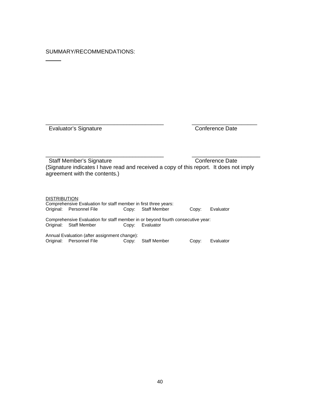#### SUMMARY/RECOMMENDATIONS:

Evaluator's Signature Conference Date

 $\overline{a}$ 

\_\_\_\_\_\_\_\_\_\_\_\_\_\_\_\_\_\_\_\_\_\_\_\_\_\_\_\_\_\_\_\_\_\_\_\_\_\_ \_\_\_\_\_\_\_\_\_\_\_\_\_\_\_\_\_\_\_\_\_\_ Staff Member's Signature Conference Date (Signature indicates I have read and received a copy of this report. It does not imply agreement with the contents.)

\_\_\_\_\_\_\_\_\_\_\_\_\_\_\_\_\_\_\_\_\_\_\_\_\_\_\_\_\_\_\_\_\_\_\_\_\_\_ \_\_\_\_\_\_\_\_\_\_\_\_\_\_\_\_\_\_\_\_\_

DISTRIBUTION: Comprehensive Evaluation for staff member in first three years:<br>
Original: Personnel File Copy: Staff Member Original: Personnel File Copy: Staff Member Copy: Evaluator Comprehensive Evaluation for staff member in or beyond fourth consecutive year:<br>Original: Staff Member Copy: Evaluator Original: Staff Member Annual Evaluation (after assignment change):<br>Original: Personnel File Copy: Staff Member Original: Personnel File Copy: Staff Member Copy: Evaluator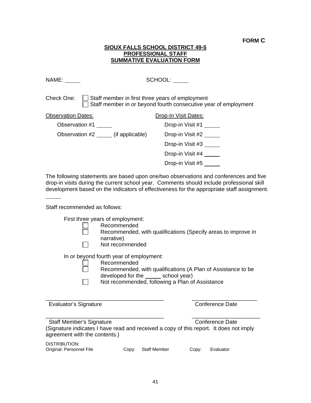**FORM C** 

#### **SIOUX FALLS SCHOOL DISTRICT 49-5 PROFESSIONAL STAFF SUMMATIVE EVALUATION FORM**

|                                                                                                                                                                                                                                                                                  |                                                        | SCHOOL:                                                         |  |  |
|----------------------------------------------------------------------------------------------------------------------------------------------------------------------------------------------------------------------------------------------------------------------------------|--------------------------------------------------------|-----------------------------------------------------------------|--|--|
| Check One:                                                                                                                                                                                                                                                                       | $\Box$ Staff member in first three years of employment | Staff member in or beyond fourth consecutive year of employment |  |  |
| <b>Observation Dates:</b>                                                                                                                                                                                                                                                        |                                                        | Drop-In Visit Dates:                                            |  |  |
| Observation #1                                                                                                                                                                                                                                                                   |                                                        | Drop-in Visit #1                                                |  |  |
|                                                                                                                                                                                                                                                                                  |                                                        | Observation #2 ______ (if applicable) Drop-in Visit #2 ______   |  |  |
|                                                                                                                                                                                                                                                                                  |                                                        | Drop-in Visit #3                                                |  |  |
|                                                                                                                                                                                                                                                                                  |                                                        | Drop-in Visit #4                                                |  |  |
|                                                                                                                                                                                                                                                                                  |                                                        | Drop-in Visit #5                                                |  |  |
| The following statements are based upon one/two observations and conferences and five<br>drop-in visits during the current school year. Comments should include professional skill<br>development based on the indicators of effectiveness for the appropriate staff assignment. |                                                        |                                                                 |  |  |
| Staff recommended as follows:                                                                                                                                                                                                                                                    |                                                        |                                                                 |  |  |
| First three years of employment:<br>Recommended<br>Recommended, with qualifications (Specify areas to improve in<br>narrative)<br>Not recommended                                                                                                                                |                                                        |                                                                 |  |  |

In or beyond fourth year of employment:

|  |  | Recommended |
|--|--|-------------|
|--|--|-------------|

|                   | Recommended, with qualifications (A Plan of Assistance to be |  |
|-------------------|--------------------------------------------------------------|--|
| developed for the | school year)                                                 |  |

Not recommended, following a Plan of Assistance

| Evaluator's Signature                                                                                                                                      |       |                     |       | Conference Date  |
|------------------------------------------------------------------------------------------------------------------------------------------------------------|-------|---------------------|-------|------------------|
| <b>Staff Member's Signature</b><br>(Signature indicates I have read and received a copy of this report. It does not imply<br>agreement with the contents.) |       |                     |       | Conference Date  |
| DISTRIBUTION:<br>Original: Personnel File                                                                                                                  | Copv: | <b>Staff Member</b> | Copy: | <b>Evaluator</b> |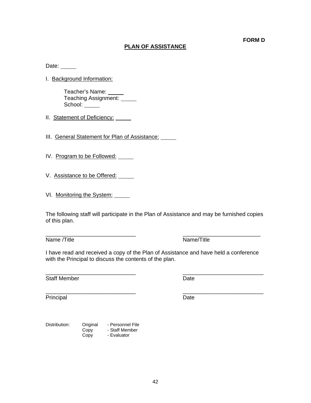42

**FORM D** 

**PLAN OF ASSISTANCE**

Date: \_\_\_\_\_\_

I. Background Information:

Teacher's Name: Teacher's Name: \_\_\_\_\_<br>Teaching Assignment: \_\_\_\_\_ School:

II. Statement of Deficiency:

III. General Statement for Plan of Assistance: University

IV. Program to be Followed:

V. Assistance to be Offered:

VI. Monitoring the System: \_\_\_\_\_\_

The following staff will participate in the Plan of Assistance and may be furnished copies of this plan.

\_\_\_\_\_\_\_\_\_\_\_\_\_\_\_\_\_\_\_\_\_\_\_\_\_\_\_\_\_ \_\_\_\_\_\_\_\_\_\_\_\_\_\_\_\_\_\_\_\_\_\_\_\_\_

Name /Title Name /Title Name /Title Name / Name / Name / Title

I have read and received a copy of the Plan of Assistance and have held a conference with the Principal to discuss the contents of the plan.

\_\_\_\_\_\_\_\_\_\_\_\_\_\_\_\_\_\_\_\_\_\_\_\_\_\_\_\_\_ \_\_\_\_\_\_\_\_\_\_\_\_\_\_\_\_\_\_\_\_\_\_\_\_\_\_ Staff Member **Date** 

Principal Date Date

Distribution: Original - Personnel File<br>Copy - Staff Member Copy - Staff Member<br>Copy - Evaluator - Evaluator

\_\_\_\_\_\_\_\_\_\_\_\_\_\_\_\_\_\_\_\_\_\_\_\_\_\_\_\_\_ \_\_\_\_\_\_\_\_\_\_\_\_\_\_\_\_\_\_\_\_\_\_\_\_\_\_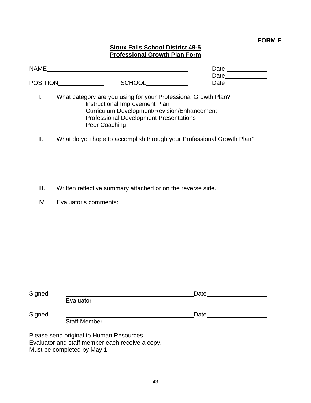#### **FORM E**

#### **Sioux Falls School District 49-5 Professional Growth Plan Form**

| <b>NAME</b>     |                                                                | Date |
|-----------------|----------------------------------------------------------------|------|
|                 |                                                                | Date |
| <b>POSITION</b> | SCHOOL                                                         | Date |
|                 |                                                                |      |
|                 | What category are you using for your Professional Growth Plan? |      |
|                 | Instructional Improvement Plan                                 |      |
|                 | <b>Curriculum Development/Revision/Enhancement</b>             |      |
|                 | <b>Professional Development Presentations</b>                  |      |
|                 | <b>DESCRIPTION</b>                                             |      |

- **No. 2018** Peer Coaching
- II. What do you hope to accomplish through your Professional Growth Plan?

- III. Written reflective summary attached or on the reverse side.
- IV. Evaluator's comments:

| Signed | Date                                            |      |  |
|--------|-------------------------------------------------|------|--|
|        | Evaluator                                       |      |  |
| Signed |                                                 | Date |  |
|        | <b>Staff Member</b>                             |      |  |
|        | Please send original to Human Resources.        |      |  |
|        | Evaluator and staff member each receive a copy. |      |  |
|        | Must be completed by May 1.                     |      |  |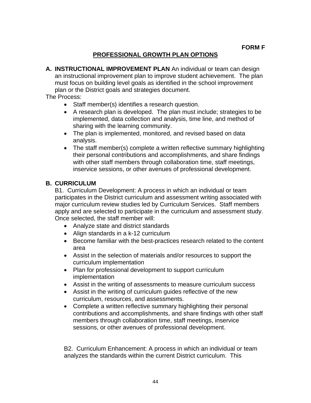#### **PROFESSIONAL GROWTH PLAN OPTIONS**

**A. INSTRUCTIONAL IMPROVEMENT PLAN** An individual or team can design an instructional improvement plan to improve student achievement. The plan must focus on building level goals as identified in the school improvement plan or the District goals and strategies document.

#### The Process:

- Staff member(s) identifies a research question.
- A research plan is developed. The plan must include; strategies to be implemented, data collection and analysis, time line, and method of sharing with the learning community.
- The plan is implemented, monitored, and revised based on data analysis.
- The staff member(s) complete a written reflective summary highlighting their personal contributions and accomplishments, and share findings with other staff members through collaboration time, staff meetings, inservice sessions, or other avenues of professional development.

#### **B. CURRICULUM**

B1. Curriculum Development: A process in which an individual or team participates in the District curriculum and assessment writing associated with major curriculum review studies led by Curriculum Services. Staff members apply and are selected to participate in the curriculum and assessment study. Once selected, the staff member will:

- Analyze state and district standards
- Align standards in a k-12 curriculum
- Become familiar with the best-practices research related to the content area
- Assist in the selection of materials and/or resources to support the curriculum implementation
- Plan for professional development to support curriculum implementation
- Assist in the writing of assessments to measure curriculum success
- Assist in the writing of curriculum guides reflective of the new curriculum, resources, and assessments.
- Complete a written reflective summary highlighting their personal contributions and accomplishments, and share findings with other staff members through collaboration time, staff meetings, inservice sessions, or other avenues of professional development.

B2. Curriculum Enhancement: A process in which an individual or team analyzes the standards within the current District curriculum. This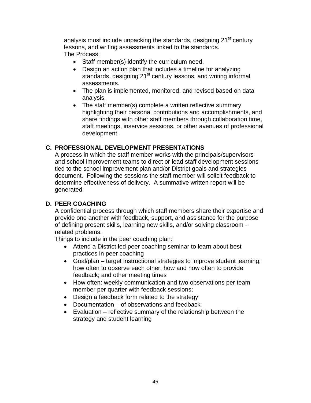analysis must include unpacking the standards, designing 21<sup>st</sup> century lessons, and writing assessments linked to the standards. The Process:

- Staff member(s) identify the curriculum need.
- Design an action plan that includes a timeline for analyzing standards, designing 21<sup>st</sup> century lessons, and writing informal assessments.
- The plan is implemented, monitored, and revised based on data analysis.
- The staff member(s) complete a written reflective summary highlighting their personal contributions and accomplishments, and share findings with other staff members through collaboration time, staff meetings, inservice sessions, or other avenues of professional development.

#### **C. PROFESSIONAL DEVELOPMENT PRESENTATIONS**

A process in which the staff member works with the principals/supervisors and school improvement teams to direct or lead staff development sessions tied to the school improvement plan and/or District goals and strategies document. Following the sessions the staff member will solicit feedback to determine effectiveness of delivery. A summative written report will be generated.

#### **D. PEER COACHING**

A confidential process through which staff members share their expertise and provide one another with feedback, support, and assistance for the purpose of defining present skills, learning new skills, and/or solving classroom related problems.

Things to include in the peer coaching plan:

- Attend a District led peer coaching seminar to learn about best practices in peer coaching
- Goal/plan target instructional strategies to improve student learning; how often to observe each other; how and how often to provide feedback; and other meeting times
- How often: weekly communication and two observations per team member per quarter with feedback sessions;
- Design a feedback form related to the strategy
- Documentation of observations and feedback
- Evaluation reflective summary of the relationship between the strategy and student learning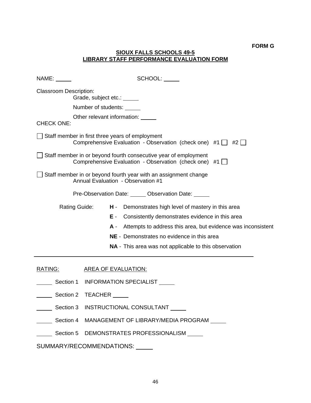#### **FORM G**

#### **SIOUX FALLS SCHOOLS 49-5 LIBRARY STAFF PERFORMANCE EVALUATION FORM**

| NAME: ______                  | SCHOOL:                                                                                                                    |
|-------------------------------|----------------------------------------------------------------------------------------------------------------------------|
| <b>Classroom Description:</b> | Grade, subject etc.: _____                                                                                                 |
|                               | Number of students: _____                                                                                                  |
| <b>CHECK ONE:</b>             | Other relevant information:                                                                                                |
|                               | Staff member in first three years of employment<br>Comprehensive Evaluation - Observation (check one) #1 $\Box$ #2 $\Box$  |
|                               | Staff member in or beyond fourth consecutive year of employment<br>Comprehensive Evaluation - Observation (check one) #1 □ |
|                               | Staff member in or beyond fourth year with an assignment change<br>Annual Evaluation - Observation #1                      |
|                               | Pre-Observation Date: ______ Observation Date: _____                                                                       |
| Rating Guide:                 | <b>H</b> - Demonstrates high level of mastery in this area                                                                 |
|                               | Е -<br>Consistently demonstrates evidence in this area                                                                     |
|                               | Attempts to address this area, but evidence was inconsistent<br>A -                                                        |
|                               | NE - Demonstrates no evidence in this area                                                                                 |
|                               | NA - This area was not applicable to this observation                                                                      |
| RATING:                       | <b>AREA OF EVALUATION:</b>                                                                                                 |
|                               | Section 1 INFORMATION SPECIALIST                                                                                           |
|                               | Section 2 TEACHER                                                                                                          |
|                               | Section 3 INSTRUCTIONAL CONSULTANT                                                                                         |
| Section 4                     | MANAGEMENT OF LIBRARY/MEDIA PROGRAM                                                                                        |
| Section 5                     | DEMONSTRATES PROFESSIONALISM                                                                                               |

SUMMARY/RECOMMENDATIONS: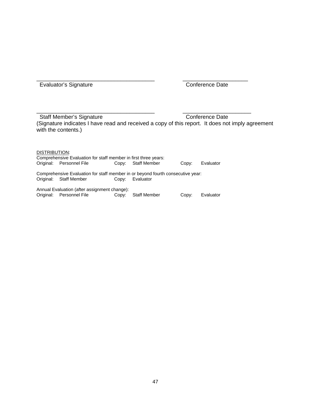\_\_\_\_\_\_\_\_\_\_\_\_\_\_\_\_\_\_\_\_\_\_\_\_\_\_\_\_\_\_\_\_\_\_\_\_\_\_ \_\_\_\_\_\_\_\_\_\_\_\_\_\_\_\_\_\_\_\_\_ Evaluator's Signature Conference Date

\_\_\_\_\_\_\_\_\_\_\_\_\_\_\_\_\_\_\_\_\_\_\_\_\_\_\_\_\_\_\_\_\_\_\_\_\_\_ \_\_\_\_\_\_\_\_\_\_\_\_\_\_\_\_\_\_\_\_\_\_ Staff Member's Signature Conference Date (Signature indicates I have read and received a copy of this report. It does not imply agreement with the contents.)

DISTRIBUTION: Comprehensive Evaluation for staff member in first three years:<br>Original: Personnel File Copy: Staff Member Original: Personnel File Copy: Staff Member Copy: Evaluator Comprehensive Evaluation for staff member in or beyond fourth consecutive year:<br>Original: Staff Member Copy: Evaluator Original: Staff Member Annual Evaluation (after assignment change): Original: Personnel File Copy: Staff Member Copy: Evaluator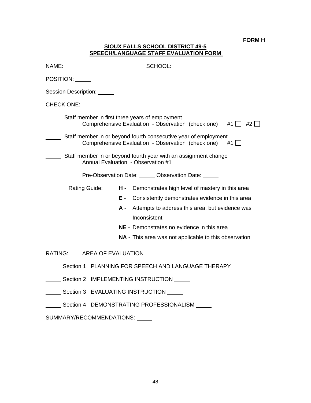**FORM H** 

#### **SIOUX FALLS SCHOOL DISTRICT 49-5 SPEECH/LANGUAGE STAFF EVALUATION FORM**

| NAME:<br>SCHOOL:                                                                                                                                                                                                                                          |    |
|-----------------------------------------------------------------------------------------------------------------------------------------------------------------------------------------------------------------------------------------------------------|----|
| POSITION:                                                                                                                                                                                                                                                 |    |
| Session Description: <u>compare</u>                                                                                                                                                                                                                       |    |
| <b>CHECK ONE:</b>                                                                                                                                                                                                                                         |    |
| Staff member in first three years of employment<br>Comprehensive Evaluation - Observation (check one)<br>#1                                                                                                                                               | #2 |
| Staff member in or beyond fourth consecutive year of employment<br>Comprehensive Evaluation - Observation (check one)<br>#1                                                                                                                               |    |
| Staff member in or beyond fourth year with an assignment change<br>Annual Evaluation - Observation #1                                                                                                                                                     |    |
| Pre-Observation Date: Observation Date: 000                                                                                                                                                                                                               |    |
| Rating Guide:<br>Demonstrates high level of mastery in this area<br>н -<br>Consistently demonstrates evidence in this area<br>Е -<br>Attempts to address this area, but evidence was<br>A -<br>Inconsistent<br>NE - Demonstrates no evidence in this area |    |
| <b>NA</b> - This area was not applicable to this observation                                                                                                                                                                                              |    |
| RATING:<br><b>AREA OF EVALUATION</b>                                                                                                                                                                                                                      |    |
| _____ Section 1 PLANNING FOR SPEECH AND LANGUAGE THERAPY ______                                                                                                                                                                                           |    |
| Section 2 IMPLEMENTING INSTRUCTION                                                                                                                                                                                                                        |    |
| Section 3 EVALUATING INSTRUCTION                                                                                                                                                                                                                          |    |
| _Section 4 DEMONSTRATING PROFESSIONALISM ___                                                                                                                                                                                                              |    |
| SUMMARY/RECOMMENDATIONS:                                                                                                                                                                                                                                  |    |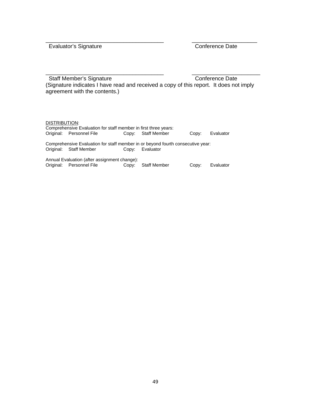Evaluator's Signature **Conference** Date

\_\_\_\_\_\_\_\_\_\_\_\_\_\_\_\_\_\_\_\_\_\_\_\_\_\_\_\_\_\_\_\_\_\_\_\_\_\_ \_\_\_\_\_\_\_\_\_\_\_\_\_\_\_\_\_\_\_\_\_\_ Staff Member's Signature Conference Date (Signature indicates I have read and received a copy of this report. It does not imply agreement with the contents.)

\_\_\_\_\_\_\_\_\_\_\_\_\_\_\_\_\_\_\_\_\_\_\_\_\_\_\_\_\_\_\_\_\_\_\_\_\_\_ \_\_\_\_\_\_\_\_\_\_\_\_\_\_\_\_\_\_\_\_\_

DISTRIBUTION: Comprehensive Evaluation for staff member in first three years:<br>Original: Personnel File Copy: Staff Member Original: Personnel File Copy: Staff Member Copy: Evaluator Comprehensive Evaluation for staff member in or beyond fourth consecutive year:<br>
Original: Staff Member Copy: Evaluator Original: Staff Member Annual Evaluation (after assignment change):<br>Original: Personnel File Copy: Original: Personnel File Copy: Staff Member Copy: Evaluator

49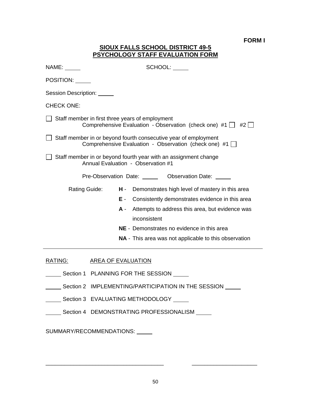**FORM I** 

#### **SIOUX FALLS SCHOOL DISTRICT 49-5 PSYCHOLOGY STAFF EVALUATION FORM**

| NAME:                                           | SCHOOL:                                                                                                                    |
|-------------------------------------------------|----------------------------------------------------------------------------------------------------------------------------|
| POSITION:                                       |                                                                                                                            |
| Session Description: <u>compare</u>             |                                                                                                                            |
| <b>CHECK ONE:</b>                               |                                                                                                                            |
| Staff member in first three years of employment | Comprehensive Evaluation - Observation (check one) #1 $\Box$ #2 $\Box$                                                     |
|                                                 | Staff member in or beyond fourth consecutive year of employment<br>Comprehensive Evaluation - Observation (check one) #1 □ |
|                                                 | Staff member in or beyond fourth year with an assignment change<br>Annual Evaluation - Observation #1                      |
|                                                 | Pre-Observation Date: _______ Observation Date: _____                                                                      |
| <b>Rating Guide:</b>                            | Demonstrates high level of mastery in this area<br>н.                                                                      |
|                                                 | Е -<br>Consistently demonstrates evidence in this area                                                                     |
|                                                 | Attempts to address this area, but evidence was<br>A -                                                                     |
|                                                 | inconsistent                                                                                                               |
|                                                 | NE - Demonstrates no evidence in this area                                                                                 |
|                                                 | <b>NA</b> - This area was not applicable to this observation                                                               |
| RATING:                                         | <b>AREA OF EVALUATION</b>                                                                                                  |
|                                                 |                                                                                                                            |
|                                                 | Section 1 PLANNING FOR THE SESSION _____                                                                                   |
|                                                 | Section 2 IMPLEMENTING/PARTICIPATION IN THE SESSION                                                                        |

- Section 3 EVALUATING METHODOLOGY
- Section 4 DEMONSTRATING PROFESSIONALISM

\_\_\_\_\_\_\_\_\_\_\_\_\_\_\_\_\_\_\_\_\_\_\_\_\_\_\_\_\_\_\_\_\_\_\_\_\_\_ \_\_\_\_\_\_\_\_\_\_\_\_\_\_\_\_\_\_\_\_\_

#### SUMMARY/RECOMMENDATIONS: \_\_\_\_\_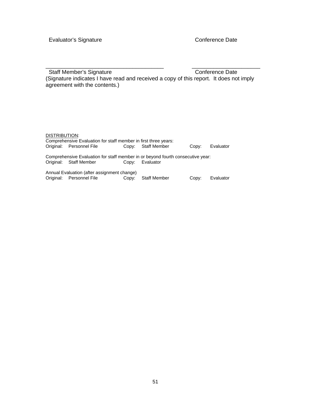Staff Member's Signature Conference Date (Signature indicates I have read and received a copy of this report. It does not imply agreement with the contents.)

\_\_\_\_\_\_\_\_\_\_\_\_\_\_\_\_\_\_\_\_\_\_\_\_\_\_\_\_\_\_\_\_\_\_\_\_\_\_ \_\_\_\_\_\_\_\_\_\_\_\_\_\_\_\_\_\_\_\_\_\_

| DISTRIBUTION: |                                                                                                           |       |                     |       |           |
|---------------|-----------------------------------------------------------------------------------------------------------|-------|---------------------|-------|-----------|
|               | Comprehensive Evaluation for staff member in first three years:                                           |       |                     |       |           |
|               | Original: Personnel File                                                                                  | Copy: | Staff Member        | Copy: | Evaluator |
|               | Comprehensive Evaluation for staff member in or beyond fourth consecutive year:<br>Original: Staff Member | Copy: | Evaluator           |       |           |
|               | Annual Evaluation (after assignment change)                                                               |       |                     |       |           |
|               | Original: Personnel File                                                                                  | Copy: | <b>Staff Member</b> | Copy: | Evaluator |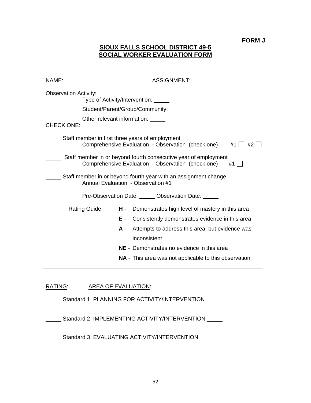**FORM J**

#### **SIOUX FALLS SCHOOL DISTRICT 49-5 SOCIAL WORKER EVALUATION FORM**

| NAME:                        |               | ASSIGNMENT:                                                                                                                                                                                                                                                                                                         |
|------------------------------|---------------|---------------------------------------------------------------------------------------------------------------------------------------------------------------------------------------------------------------------------------------------------------------------------------------------------------------------|
| <b>Observation Activity:</b> |               | Type of Activity/Intervention: _____                                                                                                                                                                                                                                                                                |
|                              |               | Student/Parent/Group/Community: _____                                                                                                                                                                                                                                                                               |
| <b>CHECK ONE:</b>            |               | Other relevant information: _____                                                                                                                                                                                                                                                                                   |
|                              |               | Staff member in first three years of employment<br>Comprehensive Evaluation - Observation (check one)<br>#1 L<br>#2                                                                                                                                                                                                 |
|                              |               | Staff member in or beyond fourth consecutive year of employment<br>Comprehensive Evaluation - Observation (check one)<br>#1   $\vert$                                                                                                                                                                               |
|                              |               | Staff member in or beyond fourth year with an assignment change<br>Annual Evaluation - Observation #1                                                                                                                                                                                                               |
|                              |               | Pre-Observation Date: ______ Observation Date: _____                                                                                                                                                                                                                                                                |
|                              | Rating Guide: | <b>H</b> - Demonstrates high level of mastery in this area<br>Consistently demonstrates evidence in this area<br>Е -<br>Attempts to address this area, but evidence was<br>A -<br>inconsistent<br><b>NE</b> - Demonstrates no evidence in this area<br><b>NA</b> - This area was not applicable to this observation |
|                              |               |                                                                                                                                                                                                                                                                                                                     |

|--|

Standard 1 PLANNING FOR ACTIVITY/INTERVENTION

Standard 2 IMPLEMENTING ACTIVITY/INTERVENTION

Standard 3 EVALUATING ACTIVITY/INTERVENTION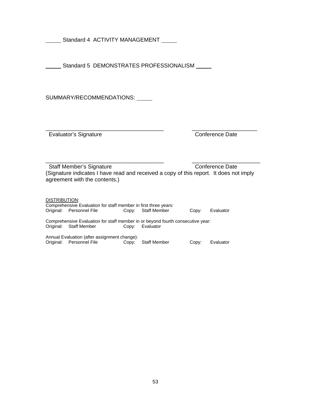Standard 4 ACTIVITY MANAGEMENT

Standard 5 DEMONSTRATES PROFESSIONALISM

SUMMARY/RECOMMENDATIONS:

Evaluator's Signature Conference Date

\_\_\_\_\_\_\_\_\_\_\_\_\_\_\_\_\_\_\_\_\_\_\_\_\_\_\_\_\_\_\_\_\_\_\_\_\_\_ \_\_\_\_\_\_\_\_\_\_\_\_\_\_\_\_\_\_\_\_\_\_ Staff Member's Signature Conference Date (Signature indicates I have read and received a copy of this report. It does not imply agreement with the contents.)

\_\_\_\_\_\_\_\_\_\_\_\_\_\_\_\_\_\_\_\_\_\_\_\_\_\_\_\_\_\_\_\_\_\_\_\_\_\_ \_\_\_\_\_\_\_\_\_\_\_\_\_\_\_\_\_\_\_\_\_

| DISTRIBUTION: | Comprehensive Evaluation for staff member in first three years:                                           |       |                     |       |           |
|---------------|-----------------------------------------------------------------------------------------------------------|-------|---------------------|-------|-----------|
|               | Original: Personnel File                                                                                  | Copy: | <b>Staff Member</b> | Copy: | Evaluator |
|               | Comprehensive Evaluation for staff member in or beyond fourth consecutive year:<br>Original: Staff Member | Copy: | Evaluator           |       |           |
|               | Annual Evaluation (after assignment change):<br>Original: Personnel File                                  | Copy: | <b>Staff Member</b> | Copy: | Evaluator |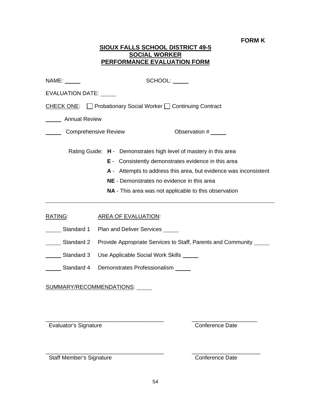**FORM K**

#### **SIOUX FALLS SCHOOL DISTRICT 49-5 SOCIAL WORKER PERFORMANCE EVALUATION FORM**

| SCHOOL:                                                          |                                                                   |  |  |  |  |  |
|------------------------------------------------------------------|-------------------------------------------------------------------|--|--|--|--|--|
| EVALUATION DATE: _____                                           |                                                                   |  |  |  |  |  |
|                                                                  | CHECK ONE: □ Probationary Social Worker □ Continuing Contract     |  |  |  |  |  |
| <b>Annual Review</b>                                             |                                                                   |  |  |  |  |  |
| <b>Comprehensive Review</b>                                      | Observation #                                                     |  |  |  |  |  |
|                                                                  | Rating Guide: H - Demonstrates high level of mastery in this area |  |  |  |  |  |
|                                                                  | <b>E</b> - Consistently demonstrates evidence in this area        |  |  |  |  |  |
| A - Attempts to address this area, but evidence was inconsistent |                                                                   |  |  |  |  |  |
| NE - Demonstrates no evidence in this area                       |                                                                   |  |  |  |  |  |
| NA - This area was not applicable to this observation            |                                                                   |  |  |  |  |  |
|                                                                  |                                                                   |  |  |  |  |  |
| RATING:                                                          | <b>AREA OF EVALUATION:</b>                                        |  |  |  |  |  |
| Standard 1                                                       | Plan and Deliver Services _____                                   |  |  |  |  |  |
| Standard 2                                                       | Provide Appropriate Services to Staff, Parents and Community      |  |  |  |  |  |
| Standard 3                                                       | Use Applicable Social Work Skills _____                           |  |  |  |  |  |
| Standard 4                                                       | Demonstrates Professionalism                                      |  |  |  |  |  |

SUMMARY/RECOMMENDATIONS:

\_\_\_\_\_\_\_\_\_\_\_\_\_\_\_\_\_\_\_\_\_\_\_\_\_\_\_\_\_\_\_\_\_\_\_\_\_\_ \_\_\_\_\_\_\_\_\_\_\_\_\_\_\_\_\_\_\_\_\_ Evaluator's Signature Conference Date

Staff Member's Signature Conference Date

\_\_\_\_\_\_\_\_\_\_\_\_\_\_\_\_\_\_\_\_\_\_\_\_\_\_\_\_\_\_\_\_\_\_\_\_\_\_ \_\_\_\_\_\_\_\_\_\_\_\_\_\_\_\_\_\_\_\_\_\_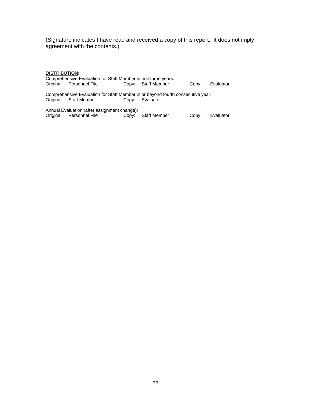(Signature indicates I have read and received a copy of this report. It does not imply agreement with the contents.)

| DISTRIBUTION: | Comprehensive Evaluation for Staff Member in first three years:                                           |       |                     |       |           |
|---------------|-----------------------------------------------------------------------------------------------------------|-------|---------------------|-------|-----------|
|               | Original: Personnel File                                                                                  | Copy: | <b>Staff Member</b> | Copy: | Evaluator |
|               | Comprehensive Evaluation for Staff Member in or beyond fourth consecutive year:<br>Original: Staff Member | Copy: | Evaluator           |       |           |
|               | Annual Evaluation (after assignment change):<br>Original: Personnel File                                  | Copy: | <b>Staff Member</b> | Copy: | Evaluator |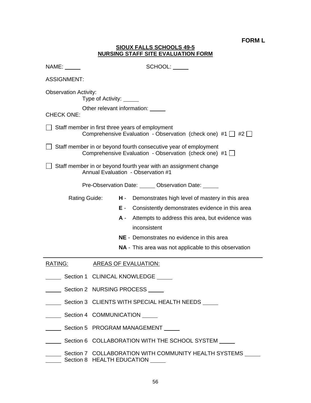**FORM L**

#### **SIOUX FALLS SCHOOLS 49-5 NURSING STAFF SITE EVALUATION FORM**

| NAME:                        | SCHOOL:                                                                                                                    |
|------------------------------|----------------------------------------------------------------------------------------------------------------------------|
| <b>ASSIGNMENT:</b>           |                                                                                                                            |
| <b>Observation Activity:</b> | Type of Activity: ______                                                                                                   |
| <b>CHECK ONE:</b>            | Other relevant information: _____                                                                                          |
|                              | Staff member in first three years of employment<br>Comprehensive Evaluation - Observation (check one) #1 $\Box$ #2 $\Box$  |
|                              | Staff member in or beyond fourth consecutive year of employment<br>Comprehensive Evaluation - Observation (check one) #1 □ |
|                              | Staff member in or beyond fourth year with an assignment change<br>Annual Evaluation - Observation #1                      |
|                              | Pre-Observation Date: ______ Observation Date: _____                                                                       |
| Rating Guide:                | н.<br>Demonstrates high level of mastery in this area                                                                      |
|                              | E - 1<br>Consistently demonstrates evidence in this area                                                                   |
|                              | Attempts to address this area, but evidence was<br>A -                                                                     |
|                              | inconsistent                                                                                                               |
|                              | <b>NE</b> - Demonstrates no evidence in this area                                                                          |
|                              | <b>NA</b> - This area was not applicable to this observation                                                               |
| <u>RATING:</u>               | AREAS OF EVALUATION:                                                                                                       |
|                              | Section 1 CLINICAL KNOWLEDGE                                                                                               |
|                              | Section 2 NURSING PROCESS                                                                                                  |
|                              | Section 3 CLIENTS WITH SPECIAL HEALTH NEEDS _____                                                                          |
|                              | Section 4 COMMUNICATION                                                                                                    |
|                              | Section 5 PROGRAM MANAGEMENT                                                                                               |
|                              | Section 6 COLLABORATION WITH THE SCHOOL SYSTEM                                                                             |
|                              | Section 7 COLLABORATION WITH COMMUNITY HEALTH SYSTEMS<br>Section 8 HEALTH EDUCATION                                        |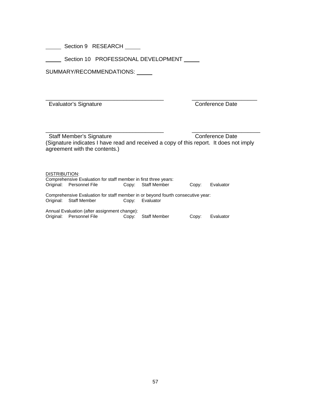|  |  |  | Section 9 RESEARCH |  |
|--|--|--|--------------------|--|
|--|--|--|--------------------|--|

Section 10 PROFESSIONAL DEVELOPMENT

SUMMARY/RECOMMENDATIONS:

Evaluator's Signature **Conference** Date

\_\_\_\_\_\_\_\_\_\_\_\_\_\_\_\_\_\_\_\_\_\_\_\_\_\_\_\_\_\_\_\_\_\_\_\_\_\_ \_\_\_\_\_\_\_\_\_\_\_\_\_\_\_\_\_\_\_\_\_\_ Staff Member's Signature Conference Date (Signature indicates I have read and received a copy of this report. It does not imply agreement with the contents.)

\_\_\_\_\_\_\_\_\_\_\_\_\_\_\_\_\_\_\_\_\_\_\_\_\_\_\_\_\_\_\_\_\_\_\_\_\_\_ \_\_\_\_\_\_\_\_\_\_\_\_\_\_\_\_\_\_\_\_\_

DISTRIBUTION: Comprehensive Evaluation for staff member in first three years:<br>Original: Personnel File Copy: Staff Member Original: Personnel File Copy: Staff Member Copy: Evaluator Comprehensive Evaluation for staff member in or beyond fourth consecutive year:<br>
Original: Staff Member Copy: Evaluator Original: Staff Member Annual Evaluation (after assignment change):<br>Original: Personnel File Copy: Original: Personnel File Copy: Staff Member Copy: Evaluator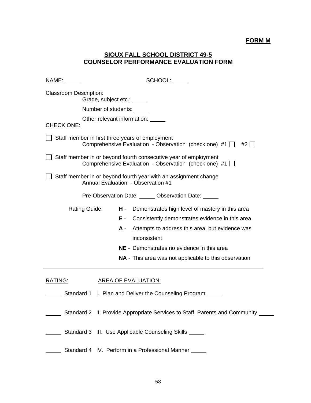#### **FORM M**

#### **SIOUX FALL SCHOOL DISTRICT 49-5 COUNSELOR PERFORMANCE EVALUATION FORM**

| NAME:                         |                            | SCHOOL:                                                                                                                      |
|-------------------------------|----------------------------|------------------------------------------------------------------------------------------------------------------------------|
| <b>Classroom Description:</b> | Grade, subject etc.: _____ |                                                                                                                              |
|                               | Number of students:        |                                                                                                                              |
| <b>CHECK ONE:</b>             |                            | Other relevant information: _____                                                                                            |
|                               |                            | Staff member in first three years of employment<br>Comprehensive Evaluation - Observation (check one) #1 $\Box$<br>#2 $\Box$ |
|                               |                            | Staff member in or beyond fourth consecutive year of employment<br>Comprehensive Evaluation - Observation (check one) #1 □   |
|                               |                            | Staff member in or beyond fourth year with an assignment change<br>Annual Evaluation - Observation #1                        |
|                               |                            | Pre-Observation Date: ______ Observation Date: _____                                                                         |
|                               | Rating Guide:              | Demonstrates high level of mastery in this area<br>н -                                                                       |
|                               |                            | Е -<br>Consistently demonstrates evidence in this area                                                                       |
|                               |                            | Attempts to address this area, but evidence was<br><b>A</b> -                                                                |
|                               |                            | inconsistent                                                                                                                 |
|                               |                            | NE - Demonstrates no evidence in this area                                                                                   |
|                               |                            | <b>NA</b> - This area was not applicable to this observation                                                                 |
| RATING:                       |                            | <b>AREA OF EVALUATION:</b><br>Standard 1 I. Plan and Deliver the Counseling Program _____                                    |
|                               |                            |                                                                                                                              |

Standard 2 II. Provide Appropriate Services to Staff, Parents and Community

Standard 3 III. Use Applicable Counseling Skills

Standard 4 IV. Perform in a Professional Manner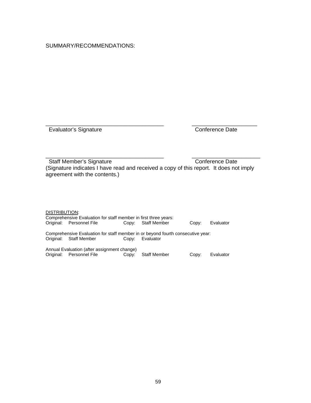#### SUMMARY/RECOMMENDATIONS:

Evaluator's Signature Conference Date

Staff Member's Signature Conference Date (Signature indicates I have read and received a copy of this report. It does not imply agreement with the contents.)

\_\_\_\_\_\_\_\_\_\_\_\_\_\_\_\_\_\_\_\_\_\_\_\_\_\_\_\_\_\_\_\_\_\_\_\_\_\_ \_\_\_\_\_\_\_\_\_\_\_\_\_\_\_\_\_\_\_\_\_\_

\_\_\_\_\_\_\_\_\_\_\_\_\_\_\_\_\_\_\_\_\_\_\_\_\_\_\_\_\_\_\_\_\_\_\_\_\_\_ \_\_\_\_\_\_\_\_\_\_\_\_\_\_\_\_\_\_\_\_\_

DISTRIBUTION: Comprehensive Evaluation for staff member in first three years: Original: Personnel File Copy: Staff Member Copy: Evaluator Comprehensive Evaluation for staff member in or beyond fourth consecutive year:<br>Original: Staff Member Copy: Evaluator Original: Staff Member Annual Evaluation (after assignment change)<br>Original: Personnel File Copy: Original: Personnel File Copy: Staff Member Copy: Evaluator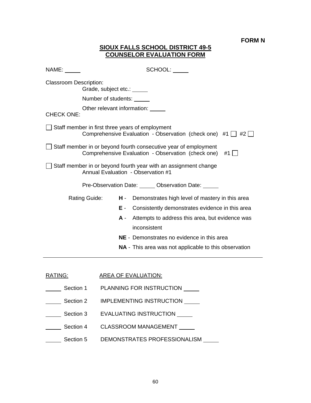**FORM N** 

#### **SIOUX FALLS SCHOOL DISTRICT 49-5 COUNSELOR EVALUATION FORM**

|                               |                            | SCHOOL:                                                                                                                                                                                                                                                                                                         |
|-------------------------------|----------------------------|-----------------------------------------------------------------------------------------------------------------------------------------------------------------------------------------------------------------------------------------------------------------------------------------------------------------|
| <b>Classroom Description:</b> | Grade, subject etc.: _____ |                                                                                                                                                                                                                                                                                                                 |
|                               | Number of students:        |                                                                                                                                                                                                                                                                                                                 |
| <b>CHECK ONE:</b>             |                            | Other relevant information:                                                                                                                                                                                                                                                                                     |
|                               |                            | Staff member in first three years of employment<br>Comprehensive Evaluation - Observation (check one) #1 $\Box$<br>#2 I                                                                                                                                                                                         |
|                               |                            | Staff member in or beyond fourth consecutive year of employment<br>Comprehensive Evaluation - Observation (check one)<br>#1 l                                                                                                                                                                                   |
|                               |                            | Staff member in or beyond fourth year with an assignment change<br>Annual Evaluation - Observation #1                                                                                                                                                                                                           |
|                               |                            | Pre-Observation Date: ______ Observation Date: _____                                                                                                                                                                                                                                                            |
|                               | <b>Rating Guide:</b>       | Demonstrates high level of mastery in this area<br>H -<br>Е -<br>Consistently demonstrates evidence in this area<br>Attempts to address this area, but evidence was<br>A -<br>inconsistent<br><b>NE</b> - Demonstrates no evidence in this area<br><b>NA</b> - This area was not applicable to this observation |

| RATING: |           | AREA OF EVALUATION:             |
|---------|-----------|---------------------------------|
|         | Section 1 | PLANNING FOR INSTRUCTION        |
|         | Section 2 | <b>IMPLEMENTING INSTRUCTION</b> |
|         | Section 3 | <b>EVALUATING INSTRUCTION</b>   |
|         | Section 4 | <b>CLASSROOM MANAGEMENT</b>     |
|         | Section 5 | DEMONSTRATES PROFESSIONALISM    |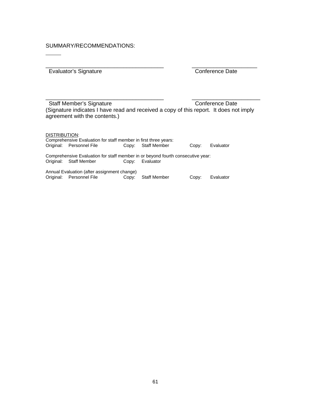#### SUMMARY/RECOMMENDATIONS:

| Evaluator's Signature | Conference Date |
|-----------------------|-----------------|

 $\overline{a}$ 

 $\overline{\phantom{0}}$ 

ignature **Conference** Date

\_\_\_\_\_\_\_\_\_\_\_\_\_\_\_\_\_\_\_\_\_\_\_\_\_\_\_\_\_\_\_\_\_\_\_\_\_\_ \_\_\_\_\_\_\_\_\_\_\_\_\_\_\_\_\_\_\_\_\_\_ Staff Member's Signature Conference Date (Signature indicates I have read and received a copy of this report. It does not imply agreement with the contents.)

| DISTRIBUTION:                                                                   |                                                                 |       |                     |       |           |
|---------------------------------------------------------------------------------|-----------------------------------------------------------------|-------|---------------------|-------|-----------|
|                                                                                 | Comprehensive Evaluation for staff member in first three years: |       |                     |       |           |
|                                                                                 | Original: Personnel File                                        | Copy: | Staff Member        | Copy: | Evaluator |
| Comprehensive Evaluation for staff member in or beyond fourth consecutive year: |                                                                 |       |                     |       |           |
|                                                                                 | Original: Staff Member                                          | Copy: | Evaluator           |       |           |
| Annual Evaluation (after assignment change)                                     |                                                                 |       |                     |       |           |
|                                                                                 | Original: Personnel File                                        | Copy: | <b>Staff Member</b> | Copy: | Evaluator |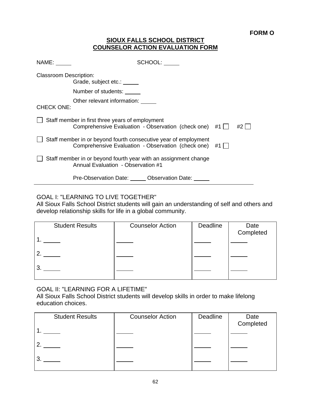#### **SIOUX FALLS SCHOOL DISTRICT COUNSELOR ACTION EVALUATION FORM**

| NAME:                         | SCHOOL:                                                                                                                  |    |
|-------------------------------|--------------------------------------------------------------------------------------------------------------------------|----|
| <b>Classroom Description:</b> | Grade, subject etc.: _____                                                                                               |    |
|                               | Number of students:                                                                                                      |    |
| <b>CHECK ONE:</b>             | Other relevant information:                                                                                              |    |
|                               | Staff member in first three years of employment<br>Comprehensive Evaluation - Observation (check one) #1                 | #2 |
|                               | Staff member in or beyond fourth consecutive year of employment<br>Comprehensive Evaluation - Observation (check one) #1 |    |
|                               | Staff member in or beyond fourth year with an assignment change<br>Annual Evaluation - Observation #1                    |    |
|                               | Pre-Observation Date: Observation Date:                                                                                  |    |

#### GOAL I: "LEARNING TO LIVE TOGETHER"

All Sioux Falls School District students will gain an understanding of self and others and develop relationship skills for life in a global community.

| <b>Student Results</b> | <b>Counselor Action</b> | Deadline | Date<br>Completed |
|------------------------|-------------------------|----------|-------------------|
|                        |                         |          |                   |
| 2                      |                         |          |                   |
| -3.                    |                         |          |                   |
|                        |                         |          |                   |

#### GOAL II: "LEARNING FOR A LIFETIME"

All Sioux Falls School District students will develop skills in order to make lifelong education choices.

| <b>Student Results</b> | <b>Counselor Action</b> | Deadline | Date      |
|------------------------|-------------------------|----------|-----------|
|                        |                         |          | Completed |
|                        |                         |          |           |
| 2                      |                         |          |           |
|                        |                         |          |           |
| 3                      |                         |          |           |
|                        |                         |          |           |